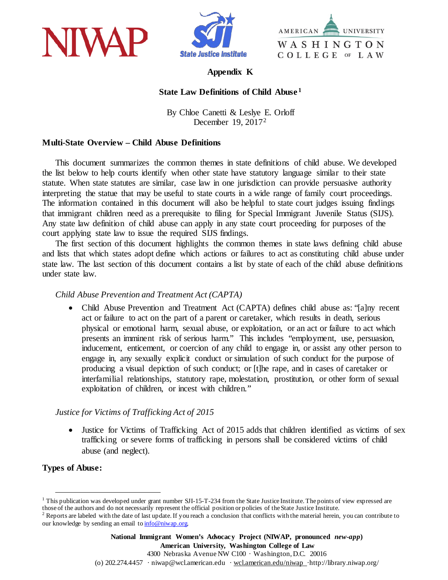





### **Appendix K**

## **State Law Definitions of Child Abuse [1](#page-0-0)**

By Chloe Canetti & Leslye E. Orloff December 19, 2017[2](#page-0-1)

## **Multi-State Overview – Child Abuse Definitions**

This document summarizes the common themes in state definitions of child abuse. We developed the list below to help courts identify when other state have statutory language similar to their state statute. When state statutes are similar, case law in one jurisdiction can provide persuasive authority interpreting the statue that may be useful to state courts in a wide range of family court proceedings. The information contained in this document will also be helpful to state court judges issuing findings that immigrant children need as a prerequisite to filing for Special Immigrant Juvenile Status (SIJS). Any state law definition of child abuse can apply in any state court proceeding for purposes of the court applying state law to issue the required SIJS findings.

The first section of this document highlights the common themes in state laws defining child abuse and lists that which states adopt define which actions or failures to act as constituting child abuse under state law. The last section of this document contains a list by state of each of the child abuse definitions under state law.

#### *Child Abuse Prevention and Treatment Act (CAPTA)*

• Child Abuse Prevention and Treatment Act (CAPTA) defines child abuse as: "[a]ny recent act or failure to act on the part of a parent or caretaker, which results in death, serious physical or emotional harm, sexual abuse, or exploitation, or an act or failure to act which presents an imminent risk of serious harm." This includes "employment, use, persuasion, inducement, enticement, or coercion of any child to engage in, or assist any other person to engage in, any sexually explicit conduct or simulation of such conduct for the purpose of producing a visual depiction of such conduct; or [t]he rape, and in cases of caretaker or interfamilial relationships, statutory rape, molestation, prostitution, or other form of sexual exploitation of children, or incest with children."

#### *Justice for Victims of Trafficking Act of 2015*

• Justice for Victims of Trafficking Act of 2015 adds that children identified as victims of sex trafficking or severe forms of trafficking in persons shall be considered victims of child abuse (and neglect).

#### **Types of Abuse:**

<span id="page-0-0"></span> $1$  This publication was developed under grant number SII-15-T-234 from the State Justice Institute. The points of view expressed are those of the authors and do not necessarily represent the official position or policies of the State Justice Institute.

<span id="page-0-1"></span> $2$  Reports are labeled with the date of last update. If you reach a conclusion that conflicts with the material herein, you can contribute to our knowledge by sending an email to info@niwap.org.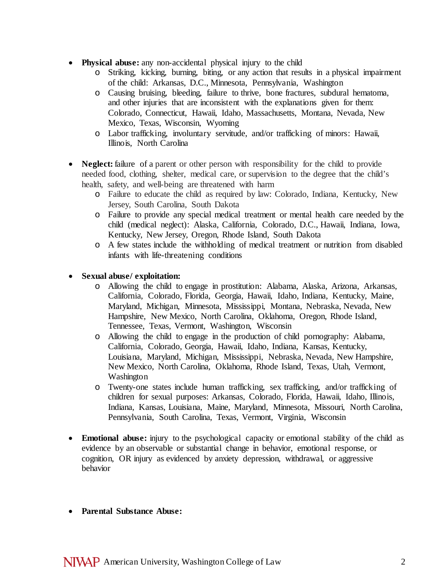- **Physical abuse:** any non-accidental physical injury to the child
	- o Striking, kicking, burning, biting, or any action that results in a physical impairment of the child: Arkansas, D.C., Minnesota, Pennsylvania, Washington
	- o Causing bruising, bleeding, failure to thrive, bone fractures, subdural hematoma, and other injuries that are inconsistent with the explanations given for them: Colorado, Connecticut, Hawaii, Idaho, Massachusetts, Montana, Nevada, New Mexico, Texas, Wisconsin, Wyoming
	- o Labor trafficking, involuntary servitude, and/or trafficking of minors: Hawaii, Illinois, North Carolina
- **Neglect:** failure of a parent or other person with responsibility for the child to provide needed food, clothing, shelter, medical care, or supervision to the degree that the child's health, safety, and well-being are threatened with harm
	- o Failure to educate the child as required by law: Colorado, Indiana, Kentucky, New Jersey, South Carolina, South Dakota
	- o Failure to provide any special medical treatment or mental health care needed by the child (medical neglect): Alaska, California, Colorado, D.C., Hawaii, Indiana, Iowa, Kentucky, New Jersey, Oregon, Rhode Island, South Dakota
	- o A few states include the withholding of medical treatment or nutrition from disabled infants with life-threatening conditions

# • **Sexual abuse/ exploitation:**

- o Allowing the child to engage in prostitution: Alabama, Alaska, Arizona, Arkansas, California, Colorado, Florida, Georgia, Hawaii, Idaho, Indiana, Kentucky, Maine, Maryland, Michigan, Minnesota, Mississippi, Montana, Nebraska, Nevada, New Hampshire, New Mexico, North Carolina, Oklahoma, Oregon, Rhode Island, Tennessee, Texas, Vermont, Washington, Wisconsin
- o Allowing the child to engage in the production of child pornography: Alabama, California, Colorado, Georgia, Hawaii, Idaho, Indiana, Kansas, Kentucky, Louisiana, Maryland, Michigan, Mississippi, Nebraska, Nevada, New Hampshire, New Mexico, North Carolina, Oklahoma, Rhode Island, Texas, Utah, Vermont, Washington
- o Twenty-one states include human trafficking, sex trafficking, and/or trafficking of children for sexual purposes: Arkansas, Colorado, Florida, Hawaii, Idaho, Illinois, Indiana, Kansas, Louisiana, Maine, Maryland, Minnesota, Missouri, North Carolina, Pennsylvania, South Carolina, Texas, Vermont, Virginia, Wisconsin
- **Emotional abuse:** injury to the psychological capacity or emotional stability of the child as evidence by an observable or substantial change in behavior, emotional response, or cognition, OR injury as evidenced by anxiety depression, withdrawal, or aggressive behavior
- **Parental Substance Abuse:**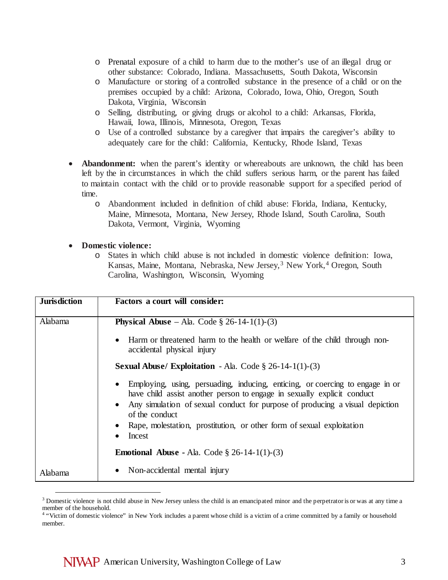- o Prenatal exposure of a child to harm due to the mother's use of an illegal drug or other substance: Colorado, Indiana. Massachusetts, South Dakota, Wisconsin
- o Manufacture or storing of a controlled substance in the presence of a child or on the premises occupied by a child: Arizona, Colorado, Iowa, Ohio, Oregon, South Dakota, Virginia, Wisconsin
- o Selling, distributing, or giving drugs or alcohol to a child: Arkansas, Florida, Hawaii, Iowa, Illinois, Minnesota, Oregon, Texas
- o Use of a controlled substance by a caregiver that impairs the caregiver's ability to adequately care for the child: California, Kentucky, Rhode Island, Texas
- **Abandonment:** when the parent's identity or whereabouts are unknown, the child has been left by the in circumstances in which the child suffers serious harm, or the parent has failed to maintain contact with the child or to provide reasonable support for a specified period of time.
	- o Abandonment included in definition of child abuse: Florida, Indiana, Kentucky, Maine, Minnesota, Montana, New Jersey, Rhode Island, South Carolina, South Dakota, Vermont, Virginia, Wyoming

## • **Domestic violence:**

o States in which child abuse is not included in domestic violence definition: Iowa, Kansas, Maine, Montana, Nebraska, New Jersey,<sup>[3](#page-2-0)</sup> New York,<sup>[4](#page-2-1)</sup> Oregon, South Carolina, Washington, Wisconsin, Wyoming

| <b>Jurisdiction</b> | Factors a court will consider:                                                                                                                                                                                                                                          |
|---------------------|-------------------------------------------------------------------------------------------------------------------------------------------------------------------------------------------------------------------------------------------------------------------------|
| Alabama             | <b>Physical Abuse</b> – Ala. Code $\S$ 26-14-1(1)-(3)                                                                                                                                                                                                                   |
|                     | Harm or threatened harm to the health or welfare of the child through non-<br>accidental physical injury                                                                                                                                                                |
|                     | <b>Sexual Abuse/ Exploitation</b> - Ala. Code $\S$ 26-14-1(1)-(3)                                                                                                                                                                                                       |
|                     | Employing, using, persuading, inducing, enticing, or coercing to engage in or<br>have child assist another person to engage in sexually explicit conduct<br>Any simulation of sexual conduct for purpose of producing a visual depiction<br>$\bullet$<br>of the conduct |
|                     | Rape, molestation, prostitution, or other form of sexual exploitation<br>Incest                                                                                                                                                                                         |
|                     | <b>Emotional Abuse - Ala.</b> Code $\S$ 26-14-1(1)-(3)                                                                                                                                                                                                                  |
| Alabama             | Non-accidental mental injury                                                                                                                                                                                                                                            |

<span id="page-2-0"></span><sup>&</sup>lt;sup>3</sup> Domestic violence is not child abuse in New Jersey unless the child is an emancipated minor and the perpetrator is or was at any time a member of the household.

<span id="page-2-1"></span><sup>&</sup>lt;sup>4</sup> "Victim of domestic violence" in New York includes a parent whose child is a victim of a crime committed by a family or household member.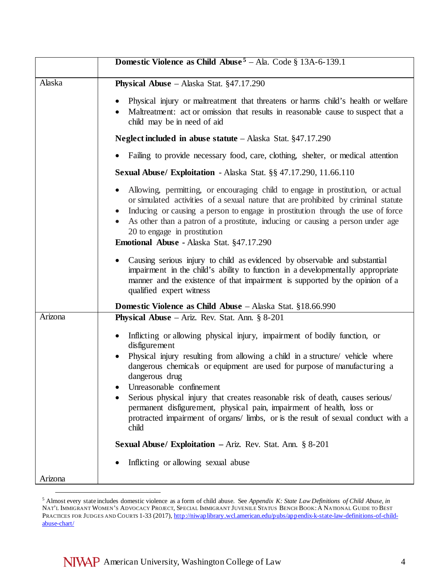|         | Domestic Violence as Child Abuse <sup>5</sup> - Ala. Code $\S$ 13A-6-139.1                                                                                                                                                                                                                                                                                                                                                                                                                                                                                                                                                                                                |
|---------|---------------------------------------------------------------------------------------------------------------------------------------------------------------------------------------------------------------------------------------------------------------------------------------------------------------------------------------------------------------------------------------------------------------------------------------------------------------------------------------------------------------------------------------------------------------------------------------------------------------------------------------------------------------------------|
| Alaska  | <b>Physical Abuse</b> – Alaska Stat. §47.17.290                                                                                                                                                                                                                                                                                                                                                                                                                                                                                                                                                                                                                           |
|         | Physical injury or maltreatment that threatens or harms child's health or welfare<br>$\bullet$<br>Maltreatment: act or omission that results in reasonable cause to suspect that a<br>child may be in need of aid                                                                                                                                                                                                                                                                                                                                                                                                                                                         |
|         | Neglect included in abuse statute - Alaska Stat. §47.17.290                                                                                                                                                                                                                                                                                                                                                                                                                                                                                                                                                                                                               |
|         | Failing to provide necessary food, care, clothing, shelter, or medical attention                                                                                                                                                                                                                                                                                                                                                                                                                                                                                                                                                                                          |
|         | Sexual Abuse/ Exploitation - Alaska Stat. §§ 47.17.290, 11.66.110                                                                                                                                                                                                                                                                                                                                                                                                                                                                                                                                                                                                         |
|         | Allowing, permitting, or encouraging child to engage in prostitution, or actual<br>or simulated activities of a sexual nature that are prohibited by criminal statute<br>Inducing or causing a person to engage in prostitution through the use of force<br>$\bullet$<br>• As other than a patron of a prostitute, inducing or causing a person under age<br>20 to engage in prostitution<br>Emotional Abuse - Alaska Stat. §47.17.290                                                                                                                                                                                                                                    |
|         | Causing serious injury to child as evidenced by observable and substantial<br>impairment in the child's ability to function in a developmentally appropriate<br>manner and the existence of that impairment is supported by the opinion of a<br>qualified expert witness                                                                                                                                                                                                                                                                                                                                                                                                  |
|         | <b>Domestic Violence as Child Abuse</b> – Alaska Stat. §18.66.990                                                                                                                                                                                                                                                                                                                                                                                                                                                                                                                                                                                                         |
| Arizona | <b>Physical Abuse</b> – Ariz. Rev. Stat. Ann. $\S 8-201$                                                                                                                                                                                                                                                                                                                                                                                                                                                                                                                                                                                                                  |
| Arizona | Inflicting or allowing physical injury, impairment of bodily function, or<br>disfigurement<br>Physical injury resulting from allowing a child in a structure/ vehicle where<br>dangerous chemicals or equipment are used for purpose of manufacturing a<br>dangerous drug<br>Unreasonable confinement<br>Serious physical injury that creates reasonable risk of death, causes serious/<br>permanent disfigurement, physical pain, impairment of health, loss or<br>protracted impairment of organs/limbs, or is the result of sexual conduct with a<br>child<br><b>Sexual Abuse/ Exploitation – Ariz. Rev. Stat. Ann. § 8-201</b><br>Inflicting or allowing sexual abuse |

<span id="page-3-0"></span> <sup>5</sup> Almost every state includes domestic violence as a form of child abuse. See *Appendix K: State Law Definitions of Child Abuse*, *in* NAT'L IMMIGRANT WOMEN'S ADVOCACY PROJECT, SPECIAL IMMIGRANT JUVENILE STATUS BENCH BOOK:A NATIONAL GUIDE TO BEST PRACTICES FOR JUDGES AND COURTS 1-33 (2017)[, http://niwaplibrary.wcl.american.edu/pubs/appendix-k-state-law-definitions-of-child](http://niwaplibrary.wcl.american.edu/pubs/appendix-k-state-law-definitions-of-child-abuse-chart/)[abuse-chart/](http://niwaplibrary.wcl.american.edu/pubs/appendix-k-state-law-definitions-of-child-abuse-chart/)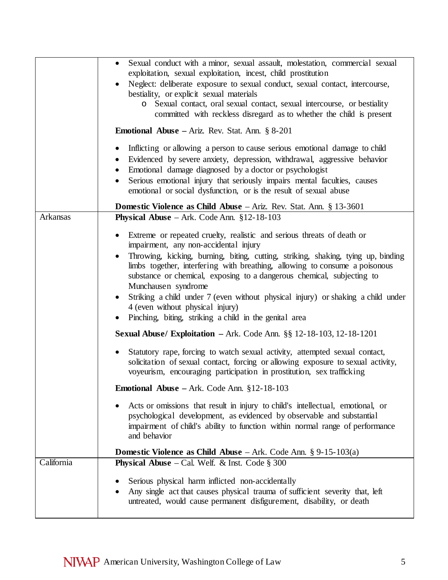|            | Sexual conduct with a minor, sexual assault, molestation, commercial sexual<br>$\bullet$<br>exploitation, sexual exploitation, incest, child prostitution<br>Neglect: deliberate exposure to sexual conduct, sexual contact, intercourse,<br>bestiality, or explicit sexual materials<br>Sexual contact, oral sexual contact, sexual intercourse, or bestiality<br>$\circ$<br>committed with reckless disregard as to whether the child is present |
|------------|----------------------------------------------------------------------------------------------------------------------------------------------------------------------------------------------------------------------------------------------------------------------------------------------------------------------------------------------------------------------------------------------------------------------------------------------------|
|            | <b>Emotional Abuse</b> – Ariz. Rev. Stat. Ann. $\S 8-201$                                                                                                                                                                                                                                                                                                                                                                                          |
|            | Inflicting or allowing a person to cause serious emotional damage to child<br>Evidenced by severe anxiety, depression, withdrawal, aggressive behavior<br>Emotional damage diagnosed by a doctor or psychologist<br>$\bullet$<br>Serious emotional injury that seriously impairs mental faculties, causes<br>$\bullet$<br>emotional or social dysfunction, or is the result of sexual abuse                                                        |
|            | <b>Domestic Violence as Child Abuse</b> $-$ Ariz. Rev. Stat. Ann. § 13-3601                                                                                                                                                                                                                                                                                                                                                                        |
| Arkansas   | <b>Physical Abuse</b> – Ark. Code Ann. $§12-18-103$                                                                                                                                                                                                                                                                                                                                                                                                |
|            | Extreme or repeated cruelty, realistic and serious threats of death or<br>impairment, any non-accidental injury                                                                                                                                                                                                                                                                                                                                    |
|            | Throwing, kicking, burning, biting, cutting, striking, shaking, tying up, binding<br>limbs together, interfering with breathing, allowing to consume a poisonous<br>substance or chemical, exposing to a dangerous chemical, subjecting to<br>Munchausen syndrome                                                                                                                                                                                  |
|            | Striking a child under 7 (even without physical injury) or shaking a child under<br>$\bullet$<br>4 (even without physical injury)<br>Pinching, biting, striking a child in the genital area                                                                                                                                                                                                                                                        |
|            | <b>Sexual Abuse/ Exploitation</b> $-$ Ark. Code Ann. $\S\S 12 - 18 - 103$ , 12-18-1201                                                                                                                                                                                                                                                                                                                                                             |
|            | Statutory rape, forcing to watch sexual activity, attempted sexual contact,<br>$\bullet$<br>solicitation of sexual contact, forcing or allowing exposure to sexual activity,<br>voyeurism, encouraging participation in prostitution, sex trafficking                                                                                                                                                                                              |
|            | Emotional Abuse - Ark. Code Ann. §12-18-103                                                                                                                                                                                                                                                                                                                                                                                                        |
|            | Acts or omissions that result in injury to child's intellectual, emotional, or<br>psychological development, as evidenced by observable and substantial<br>impairment of child's ability to function within normal range of performance<br>and behavior                                                                                                                                                                                            |
|            | <b>Domestic Violence as Child Abuse</b> – Ark. Code Ann. $\S 9-15-103(a)$                                                                                                                                                                                                                                                                                                                                                                          |
| California | <b>Physical Abuse</b> – Cal. Welf. & Inst. Code $\S 300$                                                                                                                                                                                                                                                                                                                                                                                           |
|            | Serious physical harm inflicted non-accidentally<br>Any single act that causes physical trauma of sufficient severity that, left<br>untreated, would cause permanent disfigurement, disability, or death                                                                                                                                                                                                                                           |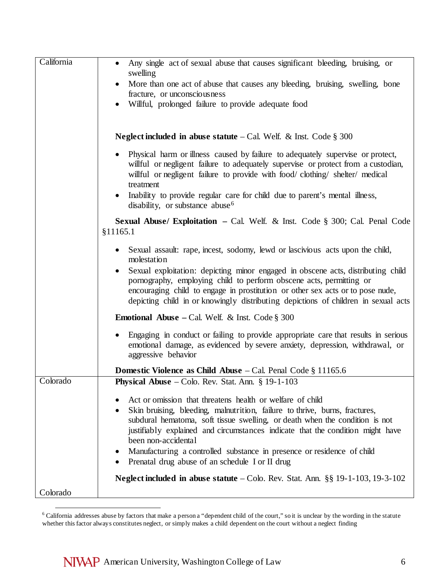| California | Any single act of sexual abuse that causes significant bleeding, bruising, or<br>$\bullet$<br>swelling                                                                                                                                                                                                                                                                                                                                                        |
|------------|---------------------------------------------------------------------------------------------------------------------------------------------------------------------------------------------------------------------------------------------------------------------------------------------------------------------------------------------------------------------------------------------------------------------------------------------------------------|
|            | More than one act of abuse that causes any bleeding, bruising, swelling, bone<br>fracture, or unconsciousness                                                                                                                                                                                                                                                                                                                                                 |
|            | Willful, prolonged failure to provide adequate food                                                                                                                                                                                                                                                                                                                                                                                                           |
|            |                                                                                                                                                                                                                                                                                                                                                                                                                                                               |
|            | <b>Neglect included in abuse statute</b> – Cal. Welf. & Inst. Code $\S 300$                                                                                                                                                                                                                                                                                                                                                                                   |
|            | Physical harm or illness caused by failure to adequately supervise or protect,<br>willful or negligent failure to adequately supervise or protect from a custodian,<br>willful or negligent failure to provide with food/clothing/shelter/medical<br>treatment<br>Inability to provide regular care for child due to parent's mental illness,<br>disability, or substance abuse <sup>6</sup>                                                                  |
|            | <b>Sexual Abuse/ Exploitation</b> - Cal. Welf. & Inst. Code $\S$ 300; Cal. Penal Code<br>§11165.1                                                                                                                                                                                                                                                                                                                                                             |
|            | Sexual assault: rape, incest, sodomy, lewd or lascivious acts upon the child,<br>molestation<br>Sexual exploitation: depicting minor engaged in obscene acts, distributing child<br>pornography, employing child to perform obscene acts, permitting or<br>encouraging child to engage in prostitution or other sex acts or to pose nude,<br>depicting child in or knowingly distributing depictions of children in sexual acts                               |
|            | <b>Emotional Abuse</b> – Cal. Welf. & Inst. Code $\S 300$                                                                                                                                                                                                                                                                                                                                                                                                     |
|            | Engaging in conduct or failing to provide appropriate care that results in serious<br>$\bullet$<br>emotional damage, as evidenced by severe anxiety, depression, withdrawal, or<br>aggressive behavior                                                                                                                                                                                                                                                        |
|            | <b>Domestic Violence as Child Abuse</b> $-$ Cal. Penal Code $\S$ 11165.6                                                                                                                                                                                                                                                                                                                                                                                      |
| Colorado   | <b>Physical Abuse</b> – Colo. Rev. Stat. Ann. $\S$ 19-1-103                                                                                                                                                                                                                                                                                                                                                                                                   |
|            | Act or omission that threatens health or welfare of child<br>Skin bruising, bleeding, malnutrition, failure to thrive, burns, fractures,<br>subdural hematoma, soft tissue swelling, or death when the condition is not<br>justifiably explained and circumstances indicate that the condition might have<br>been non-accidental<br>Manufacturing a controlled substance in presence or residence of child<br>Prenatal drug abuse of an schedule I or II drug |
| Colorado   | Neglect included in abuse statute $-$ Colo. Rev. Stat. Ann. §§ 19-1-103, 19-3-102                                                                                                                                                                                                                                                                                                                                                                             |
|            |                                                                                                                                                                                                                                                                                                                                                                                                                                                               |

<span id="page-5-0"></span><sup>&</sup>lt;sup>6</sup> California addresses abuse by factors that make a person a "dependent child of the court," so it is unclear by the wording in the statute whether this factor always constitutes neglect, or simply makes a child dependent on the court without a neglect finding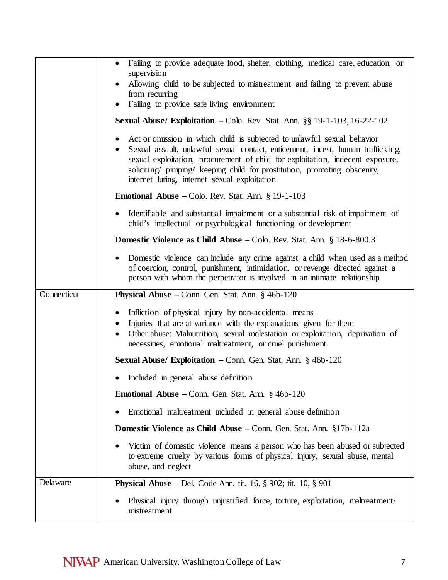|             | Failing to provide adequate food, shelter, clothing, medical care, education, or<br>supervision<br>Allowing child to be subjected to mistreatment and failing to prevent abuse<br>from recurring<br>Failing to provide safe living environment                                                                                                                             |
|-------------|----------------------------------------------------------------------------------------------------------------------------------------------------------------------------------------------------------------------------------------------------------------------------------------------------------------------------------------------------------------------------|
|             | Sexual Abuse/ Exploitation - Colo. Rev. Stat. Ann. §§ 19-1-103, 16-22-102                                                                                                                                                                                                                                                                                                  |
|             | Act or omission in which child is subjected to unlawful sexual behavior<br>Sexual assault, unlawful sexual contact, enticement, incest, human trafficking,<br>sexual exploitation, procurement of child for exploitation, indecent exposure,<br>soliciting/ pimping/ keeping child for prostitution, promoting obscenity,<br>internet luring, internet sexual exploitation |
|             | <b>Emotional Abuse</b> – Colo. Rev. Stat. Ann. $\S$ 19-1-103                                                                                                                                                                                                                                                                                                               |
|             | Identifiable and substantial impairment or a substantial risk of impairment of<br>child's intellectual or psychological functioning or development                                                                                                                                                                                                                         |
|             | <b>Domestic Violence as Child Abuse</b> $-$ Colo. Rev. Stat. Ann. § 18-6-800.3                                                                                                                                                                                                                                                                                             |
|             | Domestic violence can include any crime against a child when used as a method<br>of coercion, control, punishment, intimidation, or revenge directed against a<br>person with whom the perpetrator is involved in an intimate relationship                                                                                                                                 |
| Connecticut | <b>Physical Abuse</b> – Conn. Gen. Stat. Ann. $§$ 46b-120                                                                                                                                                                                                                                                                                                                  |
|             | Infliction of physical injury by non-accidental means<br>$\bullet$<br>Injuries that are at variance with the explanations given for them<br>Other abuse: Malnutrition, sexual molestation or exploitation, deprivation of<br>necessities, emotional maltreatment, or cruel punishment                                                                                      |
|             | Sexual Abuse/ Exploitation - Conn. Gen. Stat. Ann. § 46b-120                                                                                                                                                                                                                                                                                                               |
|             | Included in general abuse definition                                                                                                                                                                                                                                                                                                                                       |
|             | <b>Emotional Abuse</b> – Conn. Gen. Stat. Ann. $\S$ 46b-120                                                                                                                                                                                                                                                                                                                |
|             | Emotional maltreatment included in general abuse definition                                                                                                                                                                                                                                                                                                                |
|             | <b>Domestic Violence as Child Abuse</b> – Conn. Gen. Stat. Ann. §17b-112a                                                                                                                                                                                                                                                                                                  |
|             | Victim of domestic violence means a person who has been abused or subjected<br>to extreme cruelty by various forms of physical injury, sexual abuse, mental<br>abuse, and neglect                                                                                                                                                                                          |
| Delaware    | <b>Physical Abuse</b> – Del. Code Ann. tit. 16, $\S$ 902; tit. 10, $\S$ 901                                                                                                                                                                                                                                                                                                |
|             | Physical injury through unjustified force, torture, exploitation, maltreatment/<br>mistreatment                                                                                                                                                                                                                                                                            |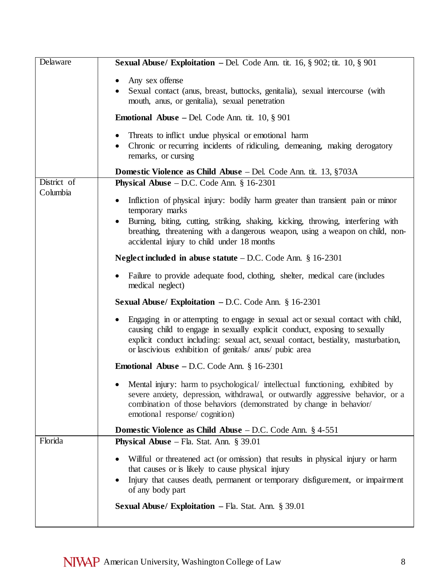| <b>Delaware</b>         | <b>Sexual Abuse/ Exploitation</b> - Del. Code Ann. tit. 16, $\S$ 902; tit. 10, $\S$ 901                                                                                                                                                                                                                                   |
|-------------------------|---------------------------------------------------------------------------------------------------------------------------------------------------------------------------------------------------------------------------------------------------------------------------------------------------------------------------|
|                         | Any sex offense<br>$\bullet$<br>Sexual contact (anus, breast, buttocks, genitalia), sexual intercourse (with<br>mouth, anus, or genitalia), sexual penetration                                                                                                                                                            |
|                         | <b>Emotional Abuse</b> – Del. Code Ann. tit. 10, $\S$ 901                                                                                                                                                                                                                                                                 |
|                         | Threats to inflict undue physical or emotional harm<br>$\bullet$<br>Chronic or recurring incidents of ridiculing, demeaning, making derogatory<br>$\bullet$<br>remarks, or cursing                                                                                                                                        |
|                         | <b>Domestic Violence as Child Abuse</b> – Del. Code Ann. tit. 13, §703A                                                                                                                                                                                                                                                   |
| District of<br>Columbia | <b>Physical Abuse</b> $-$ D.C. Code Ann. $\S$ 16-2301                                                                                                                                                                                                                                                                     |
|                         | Infliction of physical injury: bodily harm greater than transient pain or minor<br>$\bullet$<br>temporary marks                                                                                                                                                                                                           |
|                         | Burning, biting, cutting, striking, shaking, kicking, throwing, interfering with<br>٠<br>breathing, threatening with a dangerous weapon, using a weapon on child, non-<br>accidental injury to child under 18 months                                                                                                      |
|                         | <b>Neglect included in abuse statute</b> $-$ D.C. Code Ann. § 16-2301                                                                                                                                                                                                                                                     |
|                         | Failure to provide adequate food, clothing, shelter, medical care (includes<br>$\bullet$<br>medical neglect)                                                                                                                                                                                                              |
|                         | <b>Sexual Abuse/ Exploitation – D.C. Code Ann.</b> $\S 16-2301$                                                                                                                                                                                                                                                           |
|                         | Engaging in or attempting to engage in sexual act or sexual contact with child,<br>$\bullet$<br>causing child to engage in sexually explicit conduct, exposing to sexually<br>explicit conduct including: sexual act, sexual contact, bestiality, masturbation,<br>or lascivious exhibition of genitals/ anus/ pubic area |
|                         | <b>Emotional Abuse – D.C.</b> Code Ann. $\S$ 16-2301                                                                                                                                                                                                                                                                      |
|                         | Mental injury: harm to psychological/ intellectual functioning, exhibited by<br>severe anxiety, depression, withdrawal, or outwardly aggressive behavior, or a<br>combination of those behaviors (demonstrated by change in behavior/<br>emotional response/cognition)                                                    |
|                         | Domestic Violence as Child Abuse - D.C. Code Ann. § 4-551                                                                                                                                                                                                                                                                 |
| Florida                 | <b>Physical Abuse</b> – Fla. Stat. Ann. $\S 39.01$                                                                                                                                                                                                                                                                        |
|                         | Willful or threatened act (or omission) that results in physical injury or harm<br>that causes or is likely to cause physical injury<br>Injury that causes death, permanent or temporary disfigurement, or impairment<br>of any body part                                                                                 |
|                         | <b>Sexual Abuse/ Exploitation – Fla. Stat. Ann. § 39.01</b>                                                                                                                                                                                                                                                               |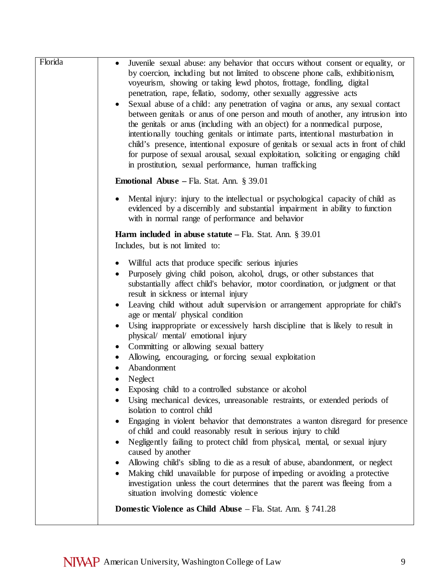| Florida | Juvenile sexual abuse: any behavior that occurs without consent or equality, or<br>by coercion, including but not limited to obscene phone calls, exhibitionism,<br>voyeurism, showing or taking lewd photos, frottage, fondling, digital<br>penetration, rape, fellatio, sodomy, other sexually aggressive acts<br>Sexual abuse of a child: any penetration of vagina or anus, any sexual contact<br>٠<br>between genitals or anus of one person and mouth of another, any intrusion into<br>the genitals or anus (including with an object) for a nonmedical purpose,<br>intentionally touching genitals or intimate parts, intentional masturbation in<br>child's presence, intentional exposure of genitals or sexual acts in front of child<br>for purpose of sexual arousal, sexual exploitation, soliciting or engaging child<br>in prostitution, sexual performance, human trafficking |
|---------|------------------------------------------------------------------------------------------------------------------------------------------------------------------------------------------------------------------------------------------------------------------------------------------------------------------------------------------------------------------------------------------------------------------------------------------------------------------------------------------------------------------------------------------------------------------------------------------------------------------------------------------------------------------------------------------------------------------------------------------------------------------------------------------------------------------------------------------------------------------------------------------------|
|         | <b>Emotional Abuse</b> – Fla. Stat. Ann. $\S 39.01$                                                                                                                                                                                                                                                                                                                                                                                                                                                                                                                                                                                                                                                                                                                                                                                                                                            |
|         | Mental injury: injury to the intellectual or psychological capacity of child as<br>$\bullet$<br>evidenced by a discernibly and substantial impairment in ability to function<br>with in normal range of performance and behavior                                                                                                                                                                                                                                                                                                                                                                                                                                                                                                                                                                                                                                                               |
|         | <b>Harm included in abuse statute</b> $-$ Fla. Stat. Ann. § 39.01<br>Includes, but is not limited to:                                                                                                                                                                                                                                                                                                                                                                                                                                                                                                                                                                                                                                                                                                                                                                                          |
|         | Willful acts that produce specific serious injuries<br>Purposely giving child poison, alcohol, drugs, or other substances that<br>substantially affect child's behavior, motor coordination, or judgment or that<br>result in sickness or internal injury<br>Leaving child without adult supervision or arrangement appropriate for child's<br>age or mental/ physical condition<br>Using inappropriate or excessively harsh discipline that is likely to result in<br>$\bullet$<br>physical/ mental/ emotional injury<br>Committing or allowing sexual battery<br>$\bullet$<br>Allowing, encouraging, or forcing sexual exploitation<br>٠                                                                                                                                                                                                                                                     |
|         | Abandonment                                                                                                                                                                                                                                                                                                                                                                                                                                                                                                                                                                                                                                                                                                                                                                                                                                                                                    |
|         | Neglect<br>Exposing child to a controlled substance or alcohol<br>Using mechanical devices, unreasonable restraints, or extended periods of<br>isolation to control child<br>Engaging in violent behavior that demonstrates a wanton disregard for presence<br>$\bullet$<br>of child and could reasonably result in serious injury to child<br>Negligently failing to protect child from physical, mental, or sexual injury<br>$\bullet$<br>caused by another<br>Allowing child's sibling to die as a result of abuse, abandonment, or neglect<br>٠<br>Making child unavailable for purpose of impeding or avoiding a protective<br>$\bullet$<br>investigation unless the court determines that the parent was fleeing from a<br>situation involving domestic violence                                                                                                                         |
|         | <b>Domestic Violence as Child Abuse</b> $-$ Fla. Stat. Ann. $\S 741.28$                                                                                                                                                                                                                                                                                                                                                                                                                                                                                                                                                                                                                                                                                                                                                                                                                        |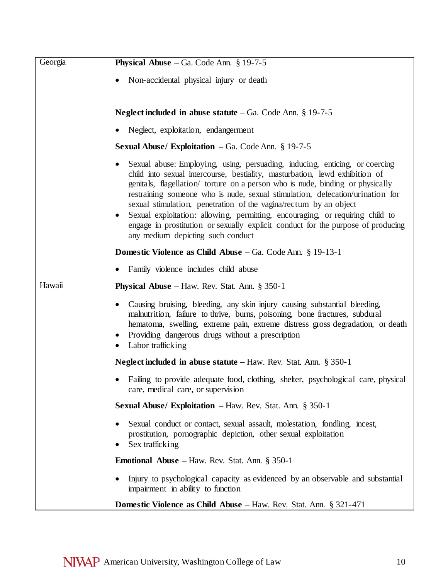| Georgia | <b>Physical Abuse</b> – Ga. Code Ann. $\S$ 19-7-5                                                                                                                                                                                                                                                                                                                                                                                                                                                                                                                                                            |
|---------|--------------------------------------------------------------------------------------------------------------------------------------------------------------------------------------------------------------------------------------------------------------------------------------------------------------------------------------------------------------------------------------------------------------------------------------------------------------------------------------------------------------------------------------------------------------------------------------------------------------|
|         | Non-accidental physical injury or death                                                                                                                                                                                                                                                                                                                                                                                                                                                                                                                                                                      |
|         | Neglect included in abuse statute $-Ga$ . Code Ann. § 19-7-5                                                                                                                                                                                                                                                                                                                                                                                                                                                                                                                                                 |
|         | Neglect, exploitation, endangerment                                                                                                                                                                                                                                                                                                                                                                                                                                                                                                                                                                          |
|         | <b>Sexual Abuse/ Exploitation</b> $-$ Ga. Code Ann. § 19-7-5                                                                                                                                                                                                                                                                                                                                                                                                                                                                                                                                                 |
|         | Sexual abuse: Employing, using, persuading, inducing, enticing, or coercing<br>child into sexual intercourse, bestiality, masturbation, lewd exhibition of<br>genitals, flagellation/ torture on a person who is nude, binding or physically<br>restraining someone who is nude, sexual stimulation, defecation/urination for<br>sexual stimulation, penetration of the vagina/rectum by an object<br>Sexual exploitation: allowing, permitting, encouraging, or requiring child to<br>engage in prostitution or sexually explicit conduct for the purpose of producing<br>any medium depicting such conduct |
|         | <b>Domestic Violence as Child Abuse</b> $-$ Ga. Code Ann. § 19-13-1                                                                                                                                                                                                                                                                                                                                                                                                                                                                                                                                          |
|         | Family violence includes child abuse                                                                                                                                                                                                                                                                                                                                                                                                                                                                                                                                                                         |
| Hawaii  | <b>Physical Abuse</b> – Haw. Rev. Stat. Ann. $\S 350-1$                                                                                                                                                                                                                                                                                                                                                                                                                                                                                                                                                      |
|         | Causing bruising, bleeding, any skin injury causing substantial bleeding,<br>malnutrition, failure to thrive, burns, poisoning, bone fractures, subdural<br>hematoma, swelling, extreme pain, extreme distress gross degradation, or death<br>Providing dangerous drugs without a prescription<br>Labor trafficking<br>$\bullet$                                                                                                                                                                                                                                                                             |
|         | <b>Neglect included in abuse statute</b> $-$ Haw. Rev. Stat. Ann. § 350-1                                                                                                                                                                                                                                                                                                                                                                                                                                                                                                                                    |
|         | Failing to provide adequate food, clothing, shelter, psychological care, physical<br>care, medical care, or supervision                                                                                                                                                                                                                                                                                                                                                                                                                                                                                      |
|         | Sexual Abuse/ Exploitation - Haw. Rev. Stat. Ann. § 350-1                                                                                                                                                                                                                                                                                                                                                                                                                                                                                                                                                    |
|         | Sexual conduct or contact, sexual assault, molestation, fondling, incest,<br>prostitution, pornographic depiction, other sexual exploitation<br>Sex trafficking                                                                                                                                                                                                                                                                                                                                                                                                                                              |
|         | <b>Emotional Abuse</b> – Haw. Rev. Stat. Ann. $\S 350-1$                                                                                                                                                                                                                                                                                                                                                                                                                                                                                                                                                     |
|         | Injury to psychological capacity as evidenced by an observable and substantial<br>impairment in ability to function                                                                                                                                                                                                                                                                                                                                                                                                                                                                                          |
|         | <b>Domestic Violence as Child Abuse</b> – Haw. Rev. Stat. Ann. § 321-471                                                                                                                                                                                                                                                                                                                                                                                                                                                                                                                                     |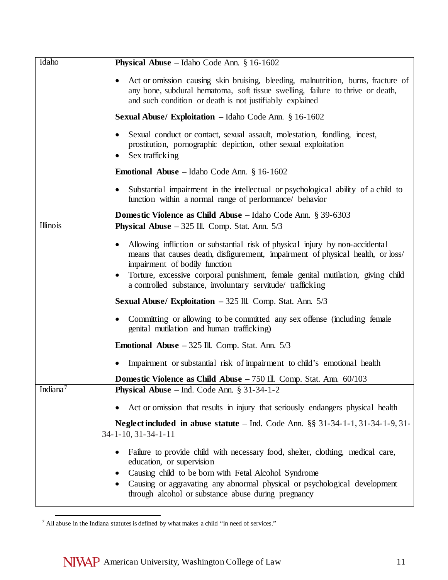| Idaho                | <b>Physical Abuse</b> – Idaho Code Ann. $§$ 16-1602                                                                                                                                                                                                                                                                                               |
|----------------------|---------------------------------------------------------------------------------------------------------------------------------------------------------------------------------------------------------------------------------------------------------------------------------------------------------------------------------------------------|
|                      | Act or omission causing skin bruising, bleeding, malnutrition, burns, fracture of<br>any bone, subdural hematoma, soft tissue swelling, failure to thrive or death,<br>and such condition or death is not justifiably explained                                                                                                                   |
|                      | <b>Sexual Abuse/ Exploitation</b> - Idaho Code Ann. $\S 16-1602$                                                                                                                                                                                                                                                                                  |
|                      | Sexual conduct or contact, sexual assault, molestation, fondling, incest,<br>prostitution, pornographic depiction, other sexual exploitation<br>Sex trafficking                                                                                                                                                                                   |
|                      | <b>Emotional Abuse</b> – Idaho Code Ann. $\S$ 16-1602                                                                                                                                                                                                                                                                                             |
|                      | Substantial impairment in the intellectual or psychological ability of a child to<br>function within a normal range of performance/ behavior                                                                                                                                                                                                      |
|                      | <b>Domestic Violence as Child Abuse</b> – Idaho Code Ann. § 39-6303                                                                                                                                                                                                                                                                               |
| <b>Illino</b> is     | <b>Physical Abuse</b> $-325$ Ill. Comp. Stat. Ann. $5/3$                                                                                                                                                                                                                                                                                          |
|                      | Allowing infliction or substantial risk of physical injury by non-accidental<br>means that causes death, disfigurement, impairment of physical health, or loss/<br>impairment of bodily function<br>Torture, excessive corporal punishment, female genital mutilation, giving child<br>a controlled substance, involuntary servitude/ trafficking |
|                      | <b>Sexual Abuse/ Exploitation</b> $-325$ Ill. Comp. Stat. Ann. $5/3$                                                                                                                                                                                                                                                                              |
|                      | Committing or allowing to be committed any sex offense (including female<br>genital mutilation and human trafficking)                                                                                                                                                                                                                             |
|                      | <b>Emotional Abuse</b> $-325$ Ill. Comp. Stat. Ann. $5/3$                                                                                                                                                                                                                                                                                         |
|                      | Impairment or substantial risk of impairment to child's emotional health                                                                                                                                                                                                                                                                          |
|                      | <b>Domestic Violence as Child Abuse</b> - 750 Ill. Comp. Stat. Ann. 60/103                                                                                                                                                                                                                                                                        |
| Indiana <sup>7</sup> | <b>Physical Abuse</b> – Ind. Code Ann. $\S$ 31-34-1-2                                                                                                                                                                                                                                                                                             |
|                      | Act or omission that results in injury that seriously endangers physical health                                                                                                                                                                                                                                                                   |
|                      | <b>Neglect included in abuse statute</b> – Ind. Code Ann. $\S\S$ 31-34-1-1, 31-34-1-9, 31-<br>$34 - 1 - 10$ , $31 - 34 - 1 - 11$                                                                                                                                                                                                                  |
|                      | Failure to provide child with necessary food, shelter, clothing, medical care,<br>education, or supervision<br>Causing child to be born with Fetal Alcohol Syndrome<br>Causing or aggravating any abnormal physical or psychological development<br>through alcohol or substance abuse during pregnancy                                           |

<span id="page-10-0"></span> $7$  All abuse in the Indiana statutes is defined by what makes a child "in need of services."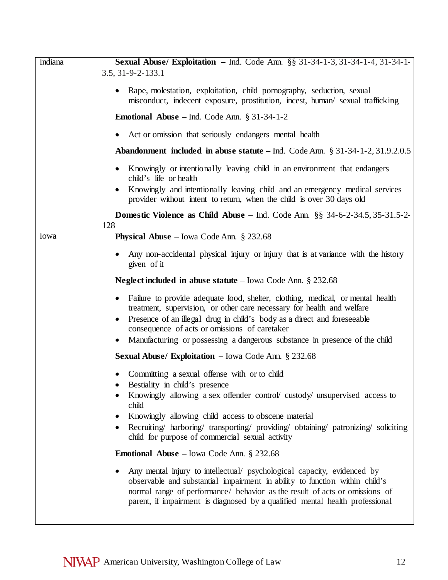| Indiana | Sexual Abuse/ Exploitation - Ind. Code Ann. §§ 31-34-1-3, 31-34-1-4, 31-34-1-<br>3.5, 31-9-2-133.1                                                                                                                                                                                                                                                                 |
|---------|--------------------------------------------------------------------------------------------------------------------------------------------------------------------------------------------------------------------------------------------------------------------------------------------------------------------------------------------------------------------|
|         | Rape, molestation, exploitation, child pornography, seduction, sexual<br>misconduct, indecent exposure, prostitution, incest, human/sexual trafficking                                                                                                                                                                                                             |
|         | <b>Emotional Abuse</b> – Ind. Code Ann. $\S 31-34-1-2$                                                                                                                                                                                                                                                                                                             |
|         | Act or omission that seriously endangers mental health                                                                                                                                                                                                                                                                                                             |
|         | <b>Abandonment included in abuse statute</b> – Ind. Code Ann. $\S 31-34-1-2, 31.9.2.0.5$                                                                                                                                                                                                                                                                           |
|         | Knowingly or intentionally leaving child in an environment that endangers<br>child's life or health                                                                                                                                                                                                                                                                |
|         | Knowingly and intentionally leaving child and an emergency medical services<br>٠<br>provider without intent to return, when the child is over 30 days old                                                                                                                                                                                                          |
|         | Domestic Violence as Child Abuse - Ind. Code Ann. §§ 34-6-2-34.5, 35-31.5-2-<br>128                                                                                                                                                                                                                                                                                |
| Iowa    | <b>Physical Abuse</b> – Iowa Code Ann. $\S$ 232.68                                                                                                                                                                                                                                                                                                                 |
|         | Any non-accidental physical injury or injury that is at variance with the history<br>given of it                                                                                                                                                                                                                                                                   |
|         | <b>Neglect included in abuse statute</b> – Iowa Code Ann. $\S$ 232.68                                                                                                                                                                                                                                                                                              |
|         | Failure to provide adequate food, shelter, clothing, medical, or mental health<br>treatment, supervision, or other care necessary for health and welfare<br>Presence of an illegal drug in child's body as a direct and foreseeable<br>consequence of acts or omissions of caretaker<br>Manufacturing or possessing a dangerous substance in presence of the child |
|         | <b>Sexual Abuse/ Exploitation</b> $-$ Iowa Code Ann. § 232.68                                                                                                                                                                                                                                                                                                      |
|         | Committing a sexual offense with or to child<br>Bestiality in child's presence<br>Knowingly allowing a sex offender control/custody/unsupervised access to                                                                                                                                                                                                         |
|         | child<br>Knowingly allowing child access to obscene material<br>Recruiting/ harboring/ transporting/ providing/ obtaining/ patronizing/ soliciting<br>child for purpose of commercial sexual activity                                                                                                                                                              |
|         | <b>Emotional Abuse</b> – Iowa Code Ann. $\S$ 232.68                                                                                                                                                                                                                                                                                                                |
|         | Any mental injury to intellectual/ psychological capacity, evidenced by<br>observable and substantial impairment in ability to function within child's<br>normal range of performance/ behavior as the result of acts or omissions of<br>parent, if impairment is diagnosed by a qualified mental health professional                                              |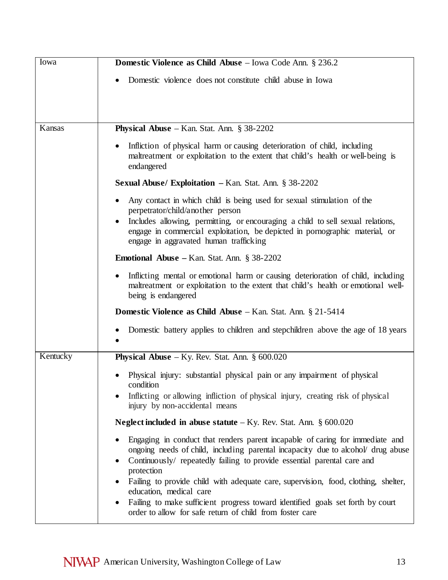| Iowa     | Domestic Violence as Child Abuse - Iowa Code Ann. § 236.2                                                                                                                                                                                                              |
|----------|------------------------------------------------------------------------------------------------------------------------------------------------------------------------------------------------------------------------------------------------------------------------|
|          | Domestic violence does not constitute child abuse in Iowa                                                                                                                                                                                                              |
|          |                                                                                                                                                                                                                                                                        |
| Kansas   | <b>Physical Abuse</b> – Kan. Stat. Ann. $\S$ 38-2202                                                                                                                                                                                                                   |
|          | Infliction of physical harm or causing deterioration of child, including<br>$\bullet$<br>maltreatment or exploitation to the extent that child's health or well-being is<br>endangered                                                                                 |
|          | <b>Sexual Abuse/ Exploitation</b> $-$ Kan. Stat. Ann. § 38-2202                                                                                                                                                                                                        |
|          | Any contact in which child is being used for sexual stimulation of the<br>perpetrator/child/another person                                                                                                                                                             |
|          | Includes allowing, permitting, or encouraging a child to sell sexual relations,<br>engage in commercial exploitation, be depicted in pornographic material, or<br>engage in aggravated human trafficking                                                               |
|          | <b>Emotional Abuse - Kan. Stat. Ann. § 38-2202</b>                                                                                                                                                                                                                     |
|          | Inflicting mental or emotional harm or causing deterioration of child, including<br>$\bullet$<br>maltreatment or exploitation to the extent that child's health or emotional well-<br>being is endangered                                                              |
|          | <b>Domestic Violence as Child Abuse</b> – Kan. Stat. Ann. § 21-5414                                                                                                                                                                                                    |
|          | Domestic battery applies to children and stepchildren above the age of 18 years                                                                                                                                                                                        |
| Kentucky | <b>Physical Abuse</b> – Ky. Rev. Stat. Ann. $\S 600.020$                                                                                                                                                                                                               |
|          | Physical injury: substantial physical pain or any impairment of physical                                                                                                                                                                                               |
|          | condition<br>Inflicting or allowing infliction of physical injury, creating risk of physical<br>injury by non-accidental means                                                                                                                                         |
|          | <b>Neglect included in abuse statute</b> $-Ky$ . Rev. Stat. Ann. § 600.020                                                                                                                                                                                             |
|          | Engaging in conduct that renders parent incapable of caring for immediate and<br>ongoing needs of child, including parental incapacity due to alcohol drug abuse<br>Continuously/ repeatedly failing to provide essential parental care and<br>$\bullet$<br>protection |
|          | Failing to provide child with adequate care, supervision, food, clothing, shelter,<br>education, medical care                                                                                                                                                          |
|          | Failing to make sufficient progress toward identified goals set forth by court<br>order to allow for safe return of child from foster care                                                                                                                             |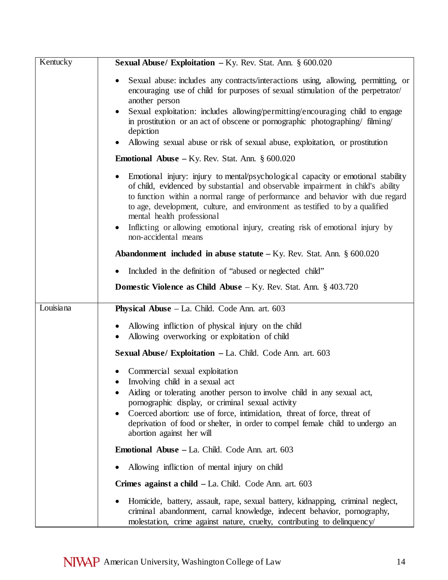| Kentucky  | <b>Sexual Abuse/ Exploitation - Ky. Rev. Stat. Ann. § 600.020</b>                                                                                                                                                                                                                                                                                                                                                                                                                        |
|-----------|------------------------------------------------------------------------------------------------------------------------------------------------------------------------------------------------------------------------------------------------------------------------------------------------------------------------------------------------------------------------------------------------------------------------------------------------------------------------------------------|
|           | Sexual abuse: includes any contracts/interactions using, allowing, permitting, or<br>encouraging use of child for purposes of sexual stimulation of the perpetrator/<br>another person                                                                                                                                                                                                                                                                                                   |
|           | Sexual exploitation: includes allowing/permitting/encouraging child to engage<br>in prostitution or an act of obscene or pornographic photographing/ filming/<br>depiction                                                                                                                                                                                                                                                                                                               |
|           | Allowing sexual abuse or risk of sexual abuse, exploitation, or prostitution                                                                                                                                                                                                                                                                                                                                                                                                             |
|           | <b>Emotional Abuse</b> – Ky. Rev. Stat. Ann. $\S 600.020$                                                                                                                                                                                                                                                                                                                                                                                                                                |
|           | Emotional injury: injury to mental/psychological capacity or emotional stability<br>of child, evidenced by substantial and observable impairment in child's ability<br>to function within a normal range of performance and behavior with due regard<br>to age, development, culture, and environment as testified to by a qualified<br>mental health professional<br>Inflicting or allowing emotional injury, creating risk of emotional injury by<br>$\bullet$<br>non-accidental means |
|           | <b>Abandonment included in abuse statute</b> $-$ Ky. Rev. Stat. Ann. $\S$ 600.020                                                                                                                                                                                                                                                                                                                                                                                                        |
|           | Included in the definition of "abused or neglected child"                                                                                                                                                                                                                                                                                                                                                                                                                                |
|           | <b>Domestic Violence as Child Abuse</b> $-Ky$ . Rev. Stat. Ann. § 403.720                                                                                                                                                                                                                                                                                                                                                                                                                |
| Louisiana | Physical Abuse - La. Child. Code Ann. art. 603                                                                                                                                                                                                                                                                                                                                                                                                                                           |
|           | Allowing infliction of physical injury on the child<br>Allowing overworking or exploitation of child                                                                                                                                                                                                                                                                                                                                                                                     |
|           | Sexual Abuse/ Exploitation - La. Child. Code Ann. art. 603                                                                                                                                                                                                                                                                                                                                                                                                                               |
|           | Commercial sexual exploitation<br>• Involving child in a sexual act<br>Aiding or tolerating another person to involve child in any sexual act,<br>pornographic display, or criminal sexual activity<br>Coerced abortion: use of force, intimidation, threat of force, threat of                                                                                                                                                                                                          |
|           | deprivation of food or shelter, in order to compel female child to undergo an<br>abortion against her will                                                                                                                                                                                                                                                                                                                                                                               |
|           | <b>Emotional Abuse - La. Child. Code Ann. art. 603</b>                                                                                                                                                                                                                                                                                                                                                                                                                                   |
|           | Allowing infliction of mental injury on child                                                                                                                                                                                                                                                                                                                                                                                                                                            |
|           | <b>Crimes against a child – La. Child. Code Ann. art. 603</b>                                                                                                                                                                                                                                                                                                                                                                                                                            |
|           | Homicide, battery, assault, rape, sexual battery, kidnapping, criminal neglect,<br>criminal abandonment, carnal knowledge, indecent behavior, pornography,<br>molestation, crime against nature, cruelty, contributing to delinquency/                                                                                                                                                                                                                                                   |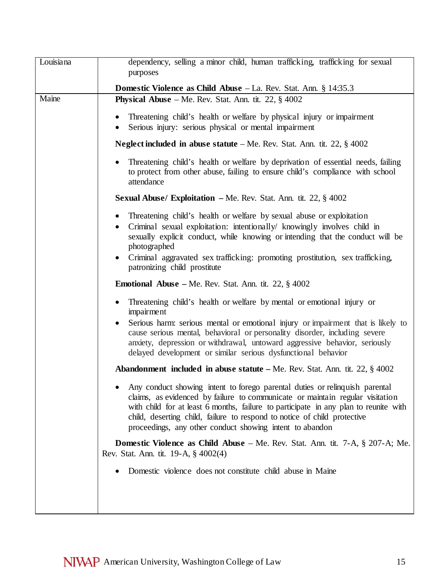| Louisiana | dependency, selling a minor child, human trafficking, trafficking for sexual                                                                                                                                                                                                                                                                                                                          |
|-----------|-------------------------------------------------------------------------------------------------------------------------------------------------------------------------------------------------------------------------------------------------------------------------------------------------------------------------------------------------------------------------------------------------------|
|           | purposes                                                                                                                                                                                                                                                                                                                                                                                              |
| Maine     | Domestic Violence as Child Abuse - La. Rev. Stat. Ann. § 14:35.3<br><b>Physical Abuse</b> – Me. Rev. Stat. Ann. tit. 22, $\S$ 4002                                                                                                                                                                                                                                                                    |
|           | Threatening child's health or welfare by physical injury or impairment<br>$\bullet$<br>Serious injury: serious physical or mental impairment                                                                                                                                                                                                                                                          |
|           | <b>Neglect included in abuse statute</b> – Me. Rev. Stat. Ann. tit. 22, $\S$ 4002                                                                                                                                                                                                                                                                                                                     |
|           | Threatening child's health or welfare by deprivation of essential needs, failing<br>to protect from other abuse, failing to ensure child's compliance with school<br>attendance                                                                                                                                                                                                                       |
|           | <b>Sexual Abuse/ Exploitation</b> – Me. Rev. Stat. Ann. tit. 22, $\S$ 4002                                                                                                                                                                                                                                                                                                                            |
|           | Threatening child's health or welfare by sexual abuse or exploitation<br>$\bullet$<br>Criminal sexual exploitation: intentionally/ knowingly involves child in<br>$\bullet$<br>sexually explicit conduct, while knowing or intending that the conduct will be<br>photographed<br>Criminal aggravated sex trafficking: promoting prostitution, sex trafficking,<br>patronizing child prostitute        |
|           | <b>Emotional Abuse</b> – Me. Rev. Stat. Ann. tit. 22, $\S$ 4002                                                                                                                                                                                                                                                                                                                                       |
|           | Threatening child's health or welfare by mental or emotional injury or<br>impairment<br>Serious harm: serious mental or emotional injury or impairment that is likely to<br>cause serious mental, behavioral or personality disorder, including severe<br>anxiety, depression or withdrawal, untoward aggressive behavior, seriously<br>delayed development or similar serious dysfunctional behavior |
|           | <b>Abandonment included in abuse statute</b> – Me. Rev. Stat. Ann. tit. $22, \frac{8}{9}$ 4002                                                                                                                                                                                                                                                                                                        |
|           | Any conduct showing intent to forego parental duties or relinquish parental<br>claims, as evidenced by failure to communicate or maintain regular visitation<br>with child for at least 6 months, failure to participate in any plan to reunite with<br>child, deserting child, failure to respond to notice of child protective<br>proceedings, any other conduct showing intent to abandon          |
|           | <b>Domestic Violence as Child Abuse</b> – Me. Rev. Stat. Ann. tit. $7-A$ , $\S$ 207-A; Me.<br>Rev. Stat. Ann. tit. 19-A, § 4002(4)                                                                                                                                                                                                                                                                    |
|           | Domestic violence does not constitute child abuse in Maine                                                                                                                                                                                                                                                                                                                                            |
|           |                                                                                                                                                                                                                                                                                                                                                                                                       |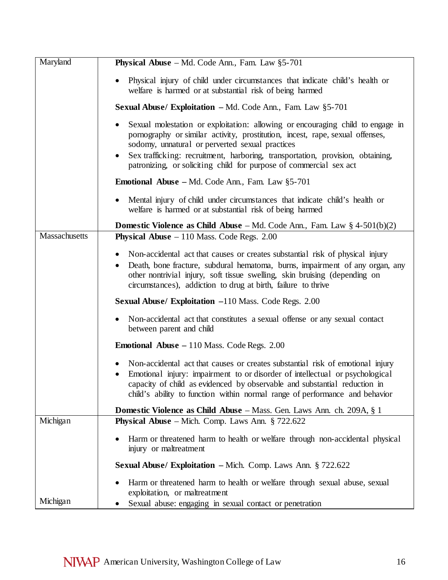| Maryland      | <b>Physical Abuse</b> – Md. Code Ann., Fam. Law $§5-701$                                                                                                                                                                                                                                                                                                                   |
|---------------|----------------------------------------------------------------------------------------------------------------------------------------------------------------------------------------------------------------------------------------------------------------------------------------------------------------------------------------------------------------------------|
|               | Physical injury of child under circumstances that indicate child's health or<br>welfare is harmed or at substantial risk of being harmed                                                                                                                                                                                                                                   |
|               | <b>Sexual Abuse/ Exploitation – Md. Code Ann., Fam. Law <math>\S5-701</math></b>                                                                                                                                                                                                                                                                                           |
|               | Sexual molestation or exploitation: allowing or encouraging child to engage in<br>pornography or similar activity, prostitution, incest, rape, sexual offenses,<br>sodomy, unnatural or perverted sexual practices<br>Sex trafficking: recruitment, harboring, transportation, provision, obtaining,<br>patronizing, or soliciting child for purpose of commercial sex act |
|               | <b>Emotional Abuse</b> – Md. Code Ann., Fam. Law §5-701                                                                                                                                                                                                                                                                                                                    |
|               | Mental injury of child under circumstances that indicate child's health or<br>welfare is harmed or at substantial risk of being harmed                                                                                                                                                                                                                                     |
|               | <b>Domestic Violence as Child Abuse</b> – Md. Code Ann., Fam. Law $\S$ 4-501(b)(2)                                                                                                                                                                                                                                                                                         |
| Massachusetts | <b>Physical Abuse</b> $-110$ Mass. Code Regs. 2.00                                                                                                                                                                                                                                                                                                                         |
|               | Non-accidental act that causes or creates substantial risk of physical injury<br>Death, bone fracture, subdural hematoma, burns, impairment of any organ, any<br>other nontrivial injury, soft tissue swelling, skin bruising (depending on<br>circumstances), addiction to drug at birth, failure to thrive                                                               |
|               | <b>Sexual Abuse/ Exploitation -110 Mass. Code Regs. 2.00</b>                                                                                                                                                                                                                                                                                                               |
|               | Non-accidental act that constitutes a sexual offense or any sexual contact<br>between parent and child                                                                                                                                                                                                                                                                     |
|               | <b>Emotional Abuse – 110 Mass. Code Regs. 2.00</b>                                                                                                                                                                                                                                                                                                                         |
|               | Non-accidental act that causes or creates substantial risk of emotional injury<br>$\bullet$<br>Emotional injury: impairment to or disorder of intellectual or psychological<br>$\bullet$<br>capacity of child as evidenced by observable and substantial reduction in<br>child's ability to function within normal range of performance and behavior                       |
|               | <b>Domestic Violence as Child Abuse</b> – Mass. Gen. Laws Ann. ch. 209A, § 1                                                                                                                                                                                                                                                                                               |
| Michigan      | <b>Physical Abuse</b> – Mich. Comp. Laws Ann. $\S$ 722.622                                                                                                                                                                                                                                                                                                                 |
|               | Harm or threatened harm to health or welfare through non-accidental physical<br>injury or maltreatment                                                                                                                                                                                                                                                                     |
|               | <b>Sexual Abuse/ Exploitation – Mich. Comp. Laws Ann. § 722.622</b>                                                                                                                                                                                                                                                                                                        |
| Michigan      | Harm or threatened harm to health or welfare through sexual abuse, sexual<br>exploitation, or maltreatment<br>Sexual abuse: engaging in sexual contact or penetration                                                                                                                                                                                                      |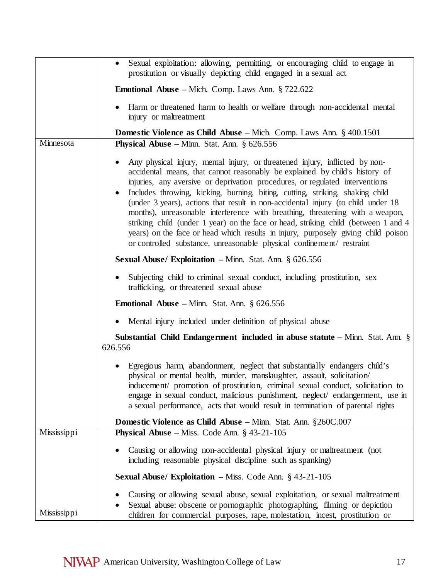|             | Sexual exploitation: allowing, permitting, or encouraging child to engage in<br>prostitution or visually depicting child engaged in a sexual act                                                                                                                                                                                                                                                                                                                                                                                                                                                                                                                                                                                                                              |
|-------------|-------------------------------------------------------------------------------------------------------------------------------------------------------------------------------------------------------------------------------------------------------------------------------------------------------------------------------------------------------------------------------------------------------------------------------------------------------------------------------------------------------------------------------------------------------------------------------------------------------------------------------------------------------------------------------------------------------------------------------------------------------------------------------|
|             | <b>Emotional Abuse</b> – Mich. Comp. Laws Ann. $\S$ 722.622                                                                                                                                                                                                                                                                                                                                                                                                                                                                                                                                                                                                                                                                                                                   |
|             | Harm or threatened harm to health or welfare through non-accidental mental<br>injury or maltreatment                                                                                                                                                                                                                                                                                                                                                                                                                                                                                                                                                                                                                                                                          |
|             | <b>Domestic Violence as Child Abuse</b> – Mich. Comp. Laws Ann. $\S$ 400.1501                                                                                                                                                                                                                                                                                                                                                                                                                                                                                                                                                                                                                                                                                                 |
| Minnesota   | <b>Physical Abuse</b> – Minn. Stat. Ann. $\S$ 626.556                                                                                                                                                                                                                                                                                                                                                                                                                                                                                                                                                                                                                                                                                                                         |
|             | Any physical injury, mental injury, or threatened injury, inflicted by non-<br>$\bullet$<br>accidental means, that cannot reasonably be explained by child's history of<br>injuries, any aversive or deprivation procedures, or regulated interventions<br>Includes throwing, kicking, burning, biting, cutting, striking, shaking child<br>$\bullet$<br>(under 3 years), actions that result in non-accidental injury (to child under 18<br>months), unreasonable interference with breathing, threatening with a weapon,<br>striking child (under 1 year) on the face or head, striking child (between 1 and 4<br>years) on the face or head which results in injury, purposely giving child poison<br>or controlled substance, unreasonable physical confinement/restraint |
|             | <b>Sexual Abuse/ Exploitation</b> $-$ Minn. Stat. Ann. § 626.556                                                                                                                                                                                                                                                                                                                                                                                                                                                                                                                                                                                                                                                                                                              |
|             | Subjecting child to criminal sexual conduct, including prostitution, sex<br>trafficking, or threatened sexual abuse                                                                                                                                                                                                                                                                                                                                                                                                                                                                                                                                                                                                                                                           |
|             | <b>Emotional Abuse</b> – Minn. Stat. Ann. $\S$ 626.556                                                                                                                                                                                                                                                                                                                                                                                                                                                                                                                                                                                                                                                                                                                        |
|             | Mental injury included under definition of physical abuse<br>$\bullet$                                                                                                                                                                                                                                                                                                                                                                                                                                                                                                                                                                                                                                                                                                        |
|             | <b>Substantial Child Endangerment included in abuse statute – Minn. Stat. Ann.</b> $\S$<br>626.556                                                                                                                                                                                                                                                                                                                                                                                                                                                                                                                                                                                                                                                                            |
|             | Egregious harm, abandonment, neglect that substantially endangers child's<br>physical or mental health, murder, manslaughter, assault, solicitation<br>inducement/ promotion of prostitution, criminal sexual conduct, solicitation to<br>engage in sexual conduct, malicious punishment, neglect/endangerment, use in<br>a sexual performance, acts that would result in termination of parental rights                                                                                                                                                                                                                                                                                                                                                                      |
|             | <b>Domestic Violence as Child Abuse</b> – Minn. Stat. Ann. §260C.007                                                                                                                                                                                                                                                                                                                                                                                                                                                                                                                                                                                                                                                                                                          |
| Mississippi | <b>Physical Abuse</b> – Miss. Code Ann. $\S$ 43-21-105                                                                                                                                                                                                                                                                                                                                                                                                                                                                                                                                                                                                                                                                                                                        |
|             | Causing or allowing non-accidental physical injury or maltreatment (not<br>including reasonable physical discipline such as spanking)                                                                                                                                                                                                                                                                                                                                                                                                                                                                                                                                                                                                                                         |
|             | <b>Sexual Abuse/ Exploitation - Miss. Code Ann. § 43-21-105</b>                                                                                                                                                                                                                                                                                                                                                                                                                                                                                                                                                                                                                                                                                                               |
| Mississippi | Causing or allowing sexual abuse, sexual exploitation, or sexual maltreatment<br>Sexual abuse: obscene or pornographic photographing, filming or depiction<br>children for commercial purposes, rape, molestation, incest, prostitution or                                                                                                                                                                                                                                                                                                                                                                                                                                                                                                                                    |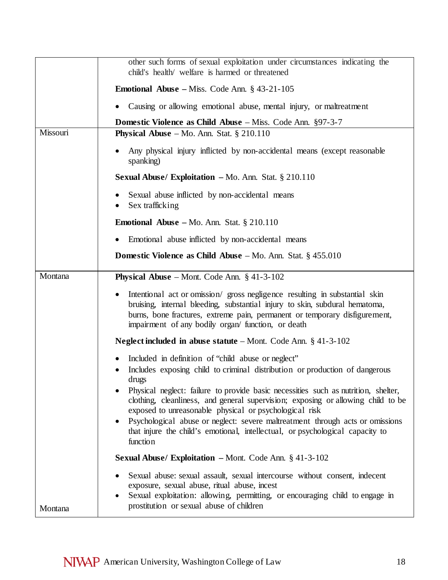|          | other such forms of sexual exploitation under circumstances indicating the<br>child's health/ welfare is harmed or threatened                                                                                                                                                                |
|----------|----------------------------------------------------------------------------------------------------------------------------------------------------------------------------------------------------------------------------------------------------------------------------------------------|
|          | <b>Emotional Abuse</b> – Miss. Code Ann. $\S$ 43-21-105                                                                                                                                                                                                                                      |
|          | Causing or allowing emotional abuse, mental injury, or maltreatment                                                                                                                                                                                                                          |
|          | <b>Domestic Violence as Child Abuse</b> – Miss. Code Ann. §97-3-7                                                                                                                                                                                                                            |
| Missouri | <b>Physical Abuse</b> – Mo. Ann. Stat. $\S 210.110$                                                                                                                                                                                                                                          |
|          | Any physical injury inflicted by non-accidental means (except reasonable<br>spanking)                                                                                                                                                                                                        |
|          | <b>Sexual Abuse/ Exploitation – Mo. Ann. Stat.</b> $\S 210.110$                                                                                                                                                                                                                              |
|          | Sexual abuse inflicted by non-accidental means<br>Sex trafficking                                                                                                                                                                                                                            |
|          | Emotional Abuse - Mo. Ann. Stat. § 210.110                                                                                                                                                                                                                                                   |
|          | Emotional abuse inflicted by non-accidental means                                                                                                                                                                                                                                            |
|          | <b>Domestic Violence as Child Abuse</b> $-$ Mo. Ann. Stat. § 455.010                                                                                                                                                                                                                         |
| Montana  | <b>Physical Abuse</b> – Mont. Code Ann. $§$ 41-3-102                                                                                                                                                                                                                                         |
|          | Intentional act or omission/gross negligence resulting in substantial skin<br>bruising, internal bleeding, substantial injury to skin, subdural hematoma,<br>burns, bone fractures, extreme pain, permanent or temporary disfigurement,<br>impairment of any bodily organ/function, or death |
|          | Neglect included in abuse statute $-$ Mont. Code Ann. $\S$ 41-3-102                                                                                                                                                                                                                          |
|          | Included in definition of "child abuse or neglect"<br>Includes exposing child to criminal distribution or production of dangerous<br>drugs                                                                                                                                                   |
|          | Physical neglect: failure to provide basic necessities such as nutrition, shelter,<br>clothing, cleanliness, and general supervision; exposing or allowing child to be<br>exposed to unreasonable physical or psychological risk                                                             |
|          | Psychological abuse or neglect: severe maltreatment through acts or omissions<br>$\bullet$<br>that injure the child's emotional, intellectual, or psychological capacity to<br>function                                                                                                      |
|          | <b>Sexual Abuse/ Exploitation – Mont. Code Ann. § 41-3-102</b>                                                                                                                                                                                                                               |
| Montana  | Sexual abuse: sexual assault, sexual intercourse without consent, indecent<br>exposure, sexual abuse, ritual abuse, incest<br>Sexual exploitation: allowing, permitting, or encouraging child to engage in<br>prostitution or sexual abuse of children                                       |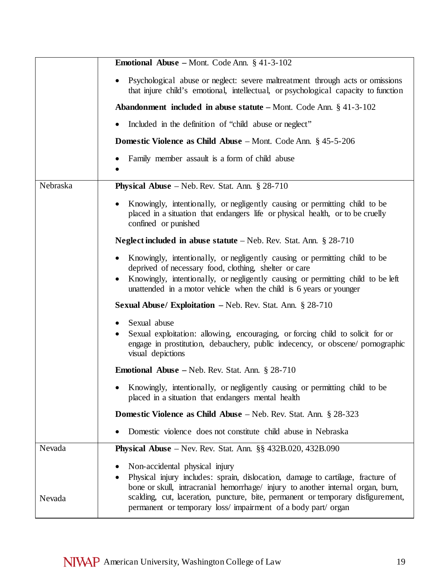|          | <b>Emotional Abuse</b> – Mont. Code Ann. $\S$ 41-3-102                                                                                                                                                                                                                                                                                                   |
|----------|----------------------------------------------------------------------------------------------------------------------------------------------------------------------------------------------------------------------------------------------------------------------------------------------------------------------------------------------------------|
|          | Psychological abuse or neglect: severe maltreatment through acts or omissions<br>that injure child's emotional, intellectual, or psychological capacity to function                                                                                                                                                                                      |
|          | <b>Abandonment included in abuse statute – Mont.</b> Code Ann. $\S$ 41-3-102                                                                                                                                                                                                                                                                             |
|          | Included in the definition of "child abuse or neglect"                                                                                                                                                                                                                                                                                                   |
|          | <b>Domestic Violence as Child Abuse</b> – Mont. Code Ann. $\S$ 45-5-206                                                                                                                                                                                                                                                                                  |
|          | Family member assault is a form of child abuse                                                                                                                                                                                                                                                                                                           |
| Nebraska | <b>Physical Abuse</b> – Neb. Rev. Stat. Ann. $\S 28-710$                                                                                                                                                                                                                                                                                                 |
|          | Knowingly, intentionally, or negligently causing or permitting child to be<br>placed in a situation that endangers life or physical health, or to be cruelly<br>confined or punished                                                                                                                                                                     |
|          | <b>Neglect included in abuse statute</b> $-$ Neb. Rev. Stat. Ann. § 28-710                                                                                                                                                                                                                                                                               |
|          | Knowingly, intentionally, or negligently causing or permitting child to be<br>deprived of necessary food, clothing, shelter or care<br>Knowingly, intentionally, or negligently causing or permitting child to be left<br>unattended in a motor vehicle when the child is 6 years or younger                                                             |
|          | <b>Sexual Abuse/ Exploitation – Neb. Rev. Stat. Ann. § 28-710</b>                                                                                                                                                                                                                                                                                        |
|          | Sexual abuse<br>Sexual exploitation: allowing, encouraging, or forcing child to solicit for or<br>engage in prostitution, debauchery, public indecency, or obscene/ pornographic<br>visual depictions                                                                                                                                                    |
|          | <b>Emotional Abuse</b> – Neb. Rev. Stat. Ann. $\S$ 28-710                                                                                                                                                                                                                                                                                                |
|          | Knowingly, intentionally, or negligently causing or permitting child to be<br>placed in a situation that endangers mental health                                                                                                                                                                                                                         |
|          | <b>Domestic Violence as Child Abuse</b> – Neb. Rev. Stat. Ann. § 28-323                                                                                                                                                                                                                                                                                  |
|          | Domestic violence does not constitute child abuse in Nebraska                                                                                                                                                                                                                                                                                            |
| Nevada   | <b>Physical Abuse</b> – Nev. Rev. Stat. Ann. $\S\S 432B.020$ , $432B.090$                                                                                                                                                                                                                                                                                |
| Nevada   | Non-accidental physical injury<br>Physical injury includes: sprain, dislocation, damage to cartilage, fracture of<br>bone or skull, intracranial hemorrhage/ injury to another internal organ, burn,<br>scalding, cut, laceration, puncture, bite, permanent or temporary disfigurement,<br>permanent or temporary loss/impairment of a body part/ organ |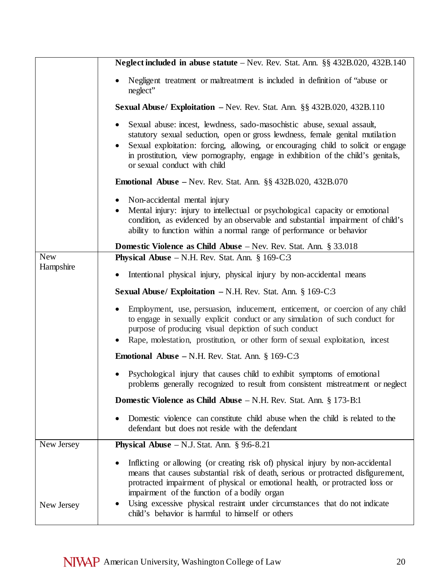|                         | Neglect included in abuse statute – Nev. Rev. Stat. Ann. §§ 432B.020, 432B.140                                                                                                                                                                                                                                                                                                     |
|-------------------------|------------------------------------------------------------------------------------------------------------------------------------------------------------------------------------------------------------------------------------------------------------------------------------------------------------------------------------------------------------------------------------|
|                         | Negligent treatment or maltreatment is included in definition of "abuse or<br>neglect"                                                                                                                                                                                                                                                                                             |
|                         | <b>Sexual Abuse/ Exploitation</b> $-$ Nev. Rev. Stat. Ann. $\S\S 432B.020$ , $432B.110$                                                                                                                                                                                                                                                                                            |
|                         | Sexual abuse: incest, lewdness, sado-masochistic abuse, sexual assault,<br>statutory sexual seduction, open or gross lewdness, female genital mutilation<br>Sexual exploitation: forcing, allowing, or encouraging child to solicit or engage<br>in prostitution, view pornography, engage in exhibition of the child's genitals,<br>or sexual conduct with child                  |
|                         | <b>Emotional Abuse</b> – Nev. Rev. Stat. Ann. $\S\S 432B.020$ , $432B.070$                                                                                                                                                                                                                                                                                                         |
|                         | Non-accidental mental injury<br>Mental injury: injury to intellectual or psychological capacity or emotional<br>condition, as evidenced by an observable and substantial impairment of child's<br>ability to function within a normal range of performance or behavior                                                                                                             |
|                         | <b>Domestic Violence as Child Abuse</b> – Nev. Rev. Stat. Ann. § 33.018                                                                                                                                                                                                                                                                                                            |
| <b>New</b><br>Hampshire | <b>Physical Abuse</b> $-N.H.$ Rev. Stat. Ann. § 169-C:3                                                                                                                                                                                                                                                                                                                            |
|                         | Intentional physical injury, physical injury by non-accidental means<br>$\bullet$                                                                                                                                                                                                                                                                                                  |
|                         | <b>Sexual Abuse/ Exploitation – N.H. Rev. Stat. Ann.</b> § 169-C:3                                                                                                                                                                                                                                                                                                                 |
|                         | Employment, use, persuasion, inducement, enticement, or coercion of any child<br>to engage in sexually explicit conduct or any simulation of such conduct for<br>purpose of producing visual depiction of such conduct<br>Rape, molestation, prostitution, or other form of sexual exploitation, incest                                                                            |
|                         | <b>Emotional Abuse</b> – N.H. Rev. Stat. Ann. $\S 169-C:3$                                                                                                                                                                                                                                                                                                                         |
|                         | Psychological injury that causes child to exhibit symptoms of emotional<br>problems generally recognized to result from consistent mistreatment or neglect                                                                                                                                                                                                                         |
|                         | <b>Domestic Violence as Child Abuse</b> $-N.H.$ Rev. Stat. Ann. § 173-B:1                                                                                                                                                                                                                                                                                                          |
|                         | Domestic violence can constitute child abuse when the child is related to the<br>defendant but does not reside with the defendant                                                                                                                                                                                                                                                  |
| New Jersey              | <b>Physical Abuse</b> $- N.J. Stat. Ann. § 9:6-8.21$                                                                                                                                                                                                                                                                                                                               |
|                         | Inflicting or allowing (or creating risk of) physical injury by non-accidental<br>means that causes substantial risk of death, serious or protracted disfigurement,<br>protracted impairment of physical or emotional health, or protracted loss or<br>impairment of the function of a bodily organ<br>Using excessive physical restraint under circumstances that do not indicate |
| New Jersey              | child's behavior is harmful to himself or others                                                                                                                                                                                                                                                                                                                                   |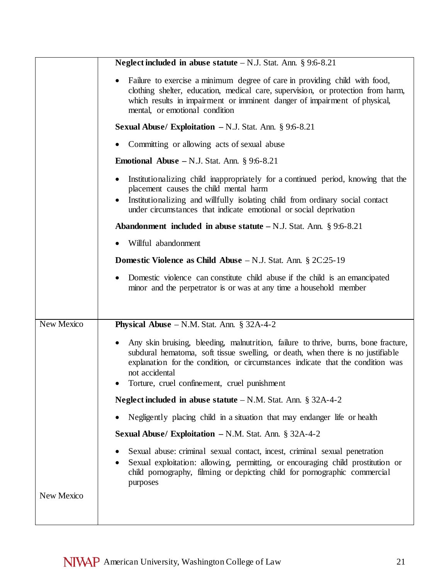|            | Neglect included in abuse statute $-N.J.$ Stat. Ann. § 9:6-8.21                                                                                                                                                                                                                                                             |
|------------|-----------------------------------------------------------------------------------------------------------------------------------------------------------------------------------------------------------------------------------------------------------------------------------------------------------------------------|
|            | Failure to exercise a minimum degree of care in providing child with food,<br>clothing shelter, education, medical care, supervision, or protection from harm,<br>which results in impairment or imminent danger of impairment of physical,<br>mental, or emotional condition                                               |
|            | <b>Sexual Abuse/ Exploitation - N.J. Stat. Ann. § 9:6-8.21</b>                                                                                                                                                                                                                                                              |
|            | Committing or allowing acts of sexual abuse                                                                                                                                                                                                                                                                                 |
|            | <b>Emotional Abuse</b> $-N.J.$ Stat. Ann. § 9:6-8.21                                                                                                                                                                                                                                                                        |
|            | Institutionalizing child inappropriately for a continued period, knowing that the<br>placement causes the child mental harm<br>Institutionalizing and willfully isolating child from ordinary social contact<br>under circumstances that indicate emotional or social deprivation                                           |
|            | <b>Abandonment included in abuse statute – N.J. Stat. Ann.</b> § 9:6-8.21                                                                                                                                                                                                                                                   |
|            | Willful abandonment                                                                                                                                                                                                                                                                                                         |
|            | <b>Domestic Violence as Child Abuse</b> $-N.J.$ Stat. Ann. § 2C:25-19                                                                                                                                                                                                                                                       |
|            | Domestic violence can constitute child abuse if the child is an emancipated<br>minor and the perpetrator is or was at any time a household member                                                                                                                                                                           |
| New Mexico |                                                                                                                                                                                                                                                                                                                             |
|            | <b>Physical Abuse</b> $- N.M.$ Stat. Ann. § 32A-4-2                                                                                                                                                                                                                                                                         |
|            | Any skin bruising, bleeding, malnutrition, failure to thrive, burns, bone fracture,<br>subdural hematoma, soft tissue swelling, or death, when there is no justifiable<br>explanation for the condition, or circumstances indicate that the condition was<br>not accidental<br>Torture, cruel confinement, cruel punishment |
|            | <b>Neglect included in abuse statute</b> $-N.M.$ Stat. Ann. § 32A-4-2                                                                                                                                                                                                                                                       |
|            | Negligently placing child in a situation that may endanger life or health                                                                                                                                                                                                                                                   |
|            | <b>Sexual Abuse/ Exploitation - N.M. Stat. Ann. § 32A-4-2</b>                                                                                                                                                                                                                                                               |
|            | Sexual abuse: criminal sexual contact, incest, criminal sexual penetration<br>Sexual exploitation: allowing, permitting, or encouraging child prostitution or<br>child pornography, filming or depicting child for pornographic commercial<br>purposes                                                                      |
| New Mexico |                                                                                                                                                                                                                                                                                                                             |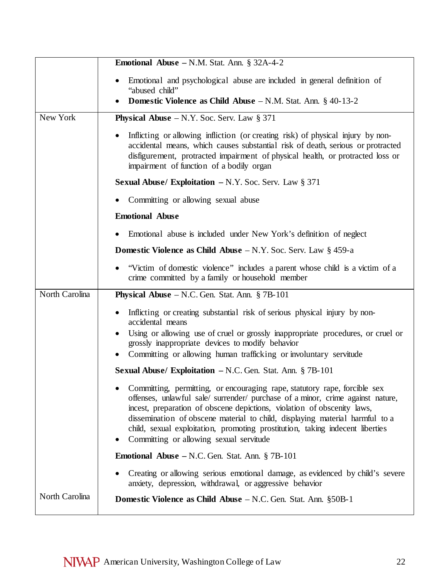|                | <b>Emotional Abuse – N.M. Stat. Ann. § 32A-4-2</b>                                                                                                                                                                                                                                                                                                                                                                                                 |
|----------------|----------------------------------------------------------------------------------------------------------------------------------------------------------------------------------------------------------------------------------------------------------------------------------------------------------------------------------------------------------------------------------------------------------------------------------------------------|
|                | Emotional and psychological abuse are included in general definition of<br>"abused child"                                                                                                                                                                                                                                                                                                                                                          |
|                | Domestic Violence as Child Abuse - N.M. Stat. Ann. § 40-13-2                                                                                                                                                                                                                                                                                                                                                                                       |
| New York       | <b>Physical Abuse</b> $-N.Y.$ Soc. Serv. Law § 371                                                                                                                                                                                                                                                                                                                                                                                                 |
|                | Inflicting or allowing infliction (or creating risk) of physical injury by non-<br>accidental means, which causes substantial risk of death, serious or protracted<br>disfigurement, protracted impairment of physical health, or protracted loss or<br>impairment of function of a bodily organ                                                                                                                                                   |
|                | <b>Sexual Abuse/ Exploitation – N.Y. Soc. Serv. Law § 371</b>                                                                                                                                                                                                                                                                                                                                                                                      |
|                | Committing or allowing sexual abuse                                                                                                                                                                                                                                                                                                                                                                                                                |
|                | <b>Emotional Abuse</b>                                                                                                                                                                                                                                                                                                                                                                                                                             |
|                | Emotional abuse is included under New York's definition of neglect                                                                                                                                                                                                                                                                                                                                                                                 |
|                | <b>Domestic Violence as Child Abuse</b> $-N.Y.$ Soc. Serv. Law § 459-a                                                                                                                                                                                                                                                                                                                                                                             |
|                | "Victim of domestic violence" includes a parent whose child is a victim of a<br>crime committed by a family or household member                                                                                                                                                                                                                                                                                                                    |
| North Carolina | <b>Physical Abuse</b> $- N.C.$ Gen. Stat. Ann. § 7B-101                                                                                                                                                                                                                                                                                                                                                                                            |
|                | Inflicting or creating substantial risk of serious physical injury by non-<br>accidental means                                                                                                                                                                                                                                                                                                                                                     |
|                | Using or allowing use of cruel or grossly inappropriate procedures, or cruel or<br>$\bullet$<br>grossly inappropriate devices to modify behavior                                                                                                                                                                                                                                                                                                   |
|                | Committing or allowing human trafficking or involuntary servitude                                                                                                                                                                                                                                                                                                                                                                                  |
|                | <b>Sexual Abuse/ Exploitation – N.C. Gen. Stat. Ann. § 7B-101</b>                                                                                                                                                                                                                                                                                                                                                                                  |
|                | Committing, permitting, or encouraging rape, statutory rape, forcible sex<br>offenses, unlawful sale/ surrender/ purchase of a minor, crime against nature,<br>incest, preparation of obscene depictions, violation of obscenity laws,<br>dissemination of obscene material to child, displaying material harmful to a<br>child, sexual exploitation, promoting prostitution, taking indecent liberties<br>Committing or allowing sexual servitude |
|                | <b>Emotional Abuse</b> $-$ N.C. Gen. Stat. Ann. § 7B-101                                                                                                                                                                                                                                                                                                                                                                                           |
|                | Creating or allowing serious emotional damage, as evidenced by child's severe<br>anxiety, depression, withdrawal, or aggressive behavior                                                                                                                                                                                                                                                                                                           |
| North Carolina | <b>Domestic Violence as Child Abuse</b> – N.C. Gen. Stat. Ann. §50B-1                                                                                                                                                                                                                                                                                                                                                                              |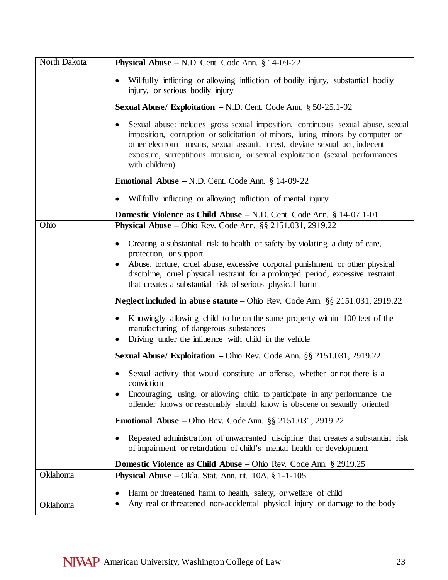| North Dakota | <b>Physical Abuse</b> $- N.D.$ Cent. Code Ann. $§ 14-09-22$                                                                                                                                                                                                                                                                                           |
|--------------|-------------------------------------------------------------------------------------------------------------------------------------------------------------------------------------------------------------------------------------------------------------------------------------------------------------------------------------------------------|
|              | Willfully inflicting or allowing infliction of bodily injury, substantial bodily<br>injury, or serious bodily injury                                                                                                                                                                                                                                  |
|              | <b>Sexual Abuse/ Exploitation - N.D. Cent. Code Ann. <math>\S 50-25.1-02</math></b>                                                                                                                                                                                                                                                                   |
|              | Sexual abuse: includes gross sexual imposition, continuous sexual abuse, sexual<br>imposition, corruption or solicitation of minors, luring minors by computer or<br>other electronic means, sexual assault, incest, deviate sexual act, indecent<br>exposure, surreptitious intrusion, or sexual exploitation (sexual performances<br>with children) |
|              | <b>Emotional Abuse</b> – N.D. Cent. Code Ann. $§$ 14-09-22                                                                                                                                                                                                                                                                                            |
|              | Willfully inflicting or allowing infliction of mental injury<br>$\bullet$                                                                                                                                                                                                                                                                             |
|              | <b>Domestic Violence as Child Abuse</b> $-N.D.$ Cent. Code Ann. § 14-07.1-01                                                                                                                                                                                                                                                                          |
| Ohio         | Physical Abuse - Ohio Rev. Code Ann. §§ 2151.031, 2919.22                                                                                                                                                                                                                                                                                             |
|              | Creating a substantial risk to health or safety by violating a duty of care,<br>protection, or support                                                                                                                                                                                                                                                |
|              | Abuse, torture, cruel abuse, excessive corporal punishment or other physical<br>discipline, cruel physical restraint for a prolonged period, excessive restraint<br>that creates a substantial risk of serious physical harm                                                                                                                          |
|              | Neglect included in abuse statute – Ohio Rev. Code Ann. $\S$ § 2151.031, 2919.22                                                                                                                                                                                                                                                                      |
|              | Knowingly allowing child to be on the same property within 100 feet of the<br>manufacturing of dangerous substances<br>Driving under the influence with child in the vehicle<br>$\bullet$                                                                                                                                                             |
|              | Sexual Abuse/ Exploitation - Ohio Rev. Code Ann. §§ 2151.031, 2919.22                                                                                                                                                                                                                                                                                 |
|              | Sexual activity that would constitute an offense, whether or not there is a<br>conviction                                                                                                                                                                                                                                                             |
|              | Encouraging, using, or allowing child to participate in any performance the<br>offender knows or reasonably should know is obscene or sexually oriented                                                                                                                                                                                               |
|              | <b>Emotional Abuse</b> – Ohio Rev. Code Ann. $\S\S$ 2151.031, 2919.22                                                                                                                                                                                                                                                                                 |
|              | Repeated administration of unwarranted discipline that creates a substantial risk<br>of impairment or retardation of child's mental health or development                                                                                                                                                                                             |
|              | <b>Domestic Violence as Child Abuse</b> – Ohio Rev. Code Ann. $\S$ 2919.25                                                                                                                                                                                                                                                                            |
| Oklahoma     | <b>Physical Abuse</b> – Okla. Stat. Ann. tit. $10A$ , $\S$ 1-1-105                                                                                                                                                                                                                                                                                    |
| Oklahoma     | Harm or threatened harm to health, safety, or welfare of child<br>Any real or threatened non-accidental physical injury or damage to the body                                                                                                                                                                                                         |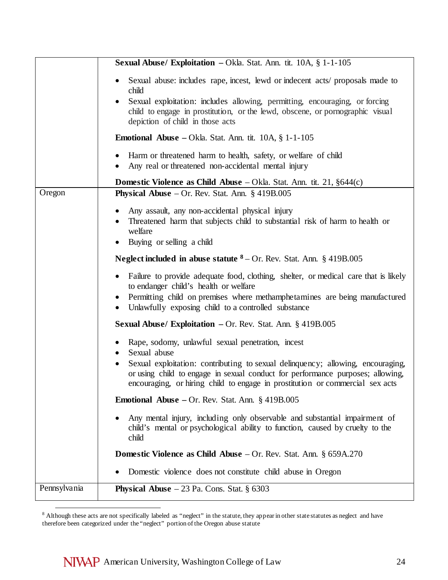|                        | Sexual Abuse/ Exploitation - Okla. Stat. Ann. tit. 10A, § 1-1-105                                                                                                                                |
|------------------------|--------------------------------------------------------------------------------------------------------------------------------------------------------------------------------------------------|
|                        | Sexual abuse: includes rape, incest, lewd or indecent acts/ proposals made to<br>child                                                                                                           |
|                        | Sexual exploitation: includes allowing, permitting, encouraging, or forcing<br>child to engage in prostitution, or the lewd, obscene, or pornographic visual<br>depiction of child in those acts |
|                        | <b>Emotional Abuse</b> – Okla. Stat. Ann. tit. $10A$ , $\S$ 1-1-105                                                                                                                              |
| $\bullet$              | Harm or threatened harm to health, safety, or welfare of child<br>Any real or threatened non-accidental mental injury                                                                            |
|                        | <b>Domestic Violence as Child Abuse</b> – Okla. Stat. Ann. tit. 21, $§644(c)$                                                                                                                    |
| Oregon                 | <b>Physical Abuse</b> $-$ Or. Rev. Stat. Ann. $\S$ 419B.005                                                                                                                                      |
|                        | Any assault, any non-accidental physical injury                                                                                                                                                  |
|                        | Threatened harm that subjects child to substantial risk of harm to health or                                                                                                                     |
|                        | welfare<br>Buying or selling a child                                                                                                                                                             |
|                        |                                                                                                                                                                                                  |
|                        | <b>Neglect included in abuse statute <math>8 - Or</math>.</b> Rev. Stat. Ann. § 419B.005                                                                                                         |
| $\bullet$              | Failure to provide adequate food, clothing, shelter, or medical care that is likely<br>to endanger child's health or welfare                                                                     |
| $\bullet$<br>$\bullet$ | Permitting child on premises where methamphetamines are being manufactured<br>Unlawfully exposing child to a controlled substance                                                                |
|                        | <b>Sexual Abuse/ Exploitation - Or. Rev. Stat. Ann. <math>\S</math> 419B.005</b>                                                                                                                 |
|                        | Rape, sodomy, unlawful sexual penetration, incest<br>Sexual abuse                                                                                                                                |
|                        | Sexual exploitation: contributing to sexual delinquency; allowing, encouraging,                                                                                                                  |
|                        | or using child to engage in sexual conduct for performance purposes; allowing,<br>encouraging, or hiring child to engage in prostitution or commercial sex acts                                  |
|                        | <b>Emotional Abuse</b> – Or. Rev. Stat. Ann. $\S$ 419B.005                                                                                                                                       |
|                        | Any mental injury, including only observable and substantial impairment of<br>child's mental or psychological ability to function, caused by cruelty to the<br>child                             |
|                        | <b>Domestic Violence as Child Abuse</b> $-$ Or. Rev. Stat. Ann. § 659A.270                                                                                                                       |
|                        | Domestic violence does not constitute child abuse in Oregon                                                                                                                                      |
| Pennsylvania           | <b>Physical Abuse</b> $-23$ Pa. Cons. Stat. § 6303                                                                                                                                               |

<span id="page-23-0"></span><sup>8</sup> Although these acts are not specifically labeled as "neglect" in the statute, they appear in other state statutes as neglect and have therefore been categorized under the "neglect" portion of the Oregon abuse statute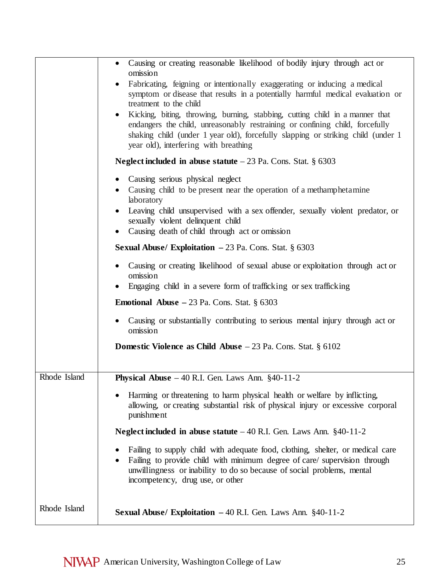|              | Causing or creating reasonable likelihood of bodily injury through act or<br>$\bullet$<br>omission<br>Fabricating, feigning or intentionally exaggerating or inducing a medical<br>symptom or disease that results in a potentially harmful medical evaluation or<br>treatment to the child<br>Kicking, biting, throwing, burning, stabbing, cutting child in a manner that<br>endangers the child, unreasonably restraining or confining child, forcefully<br>shaking child (under 1 year old), forcefully slapping or striking child (under 1<br>year old), interfering with breathing |
|--------------|------------------------------------------------------------------------------------------------------------------------------------------------------------------------------------------------------------------------------------------------------------------------------------------------------------------------------------------------------------------------------------------------------------------------------------------------------------------------------------------------------------------------------------------------------------------------------------------|
|              | Neglect included in abuse statute $-23$ Pa. Cons. Stat. § 6303                                                                                                                                                                                                                                                                                                                                                                                                                                                                                                                           |
|              | Causing serious physical neglect<br>$\bullet$<br>Causing child to be present near the operation of a methamphetamine<br>laboratory<br>Leaving child unsupervised with a sex offender, sexually violent predator, or<br>sexually violent delinquent child<br>Causing death of child through act or omission                                                                                                                                                                                                                                                                               |
|              | <b>Sexual Abuse/ Exploitation <math>-23</math> Pa. Cons. Stat. § 6303</b>                                                                                                                                                                                                                                                                                                                                                                                                                                                                                                                |
|              | Causing or creating likelihood of sexual abuse or exploitation through act or<br>omission<br>Engaging child in a severe form of trafficking or sex trafficking                                                                                                                                                                                                                                                                                                                                                                                                                           |
|              | <b>Emotional Abuse</b> $-23$ Pa. Cons. Stat. § 6303                                                                                                                                                                                                                                                                                                                                                                                                                                                                                                                                      |
|              | Causing or substantially contributing to serious mental injury through act or<br>omission                                                                                                                                                                                                                                                                                                                                                                                                                                                                                                |
|              | <b>Domestic Violence as Child Abuse</b> $-23$ Pa. Cons. Stat. $\S 6102$                                                                                                                                                                                                                                                                                                                                                                                                                                                                                                                  |
| Rhode Island | Physical Abuse $-40$ R.I. Gen. Laws Ann. §40-11-2                                                                                                                                                                                                                                                                                                                                                                                                                                                                                                                                        |
|              | Harming or threatening to harm physical health or welfare by inflicting,<br>allowing, or creating substantial risk of physical injury or excessive corporal<br>punishment                                                                                                                                                                                                                                                                                                                                                                                                                |
|              | Neglect included in abuse statute $-40$ R.I. Gen. Laws Ann. §40-11-2                                                                                                                                                                                                                                                                                                                                                                                                                                                                                                                     |
|              | Failing to supply child with adequate food, clothing, shelter, or medical care<br>Failing to provide child with minimum degree of care/ supervision through<br>unwillingness or inability to do so because of social problems, mental<br>incompetency, drug use, or other                                                                                                                                                                                                                                                                                                                |
| Rhode Island | Sexual Abuse/ Exploitation - 40 R.I. Gen. Laws Ann. §40-11-2                                                                                                                                                                                                                                                                                                                                                                                                                                                                                                                             |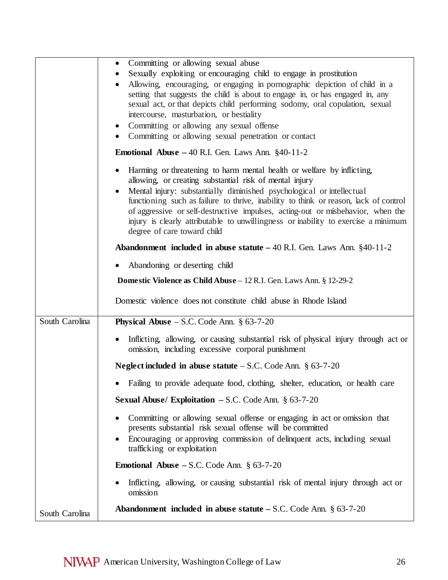|                | Committing or allowing sexual abuse<br>$\bullet$<br>Sexually exploiting or encouraging child to engage in prostitution<br>Allowing, encouraging, or engaging in pornographic depiction of child in a<br>setting that suggests the child is about to engage in, or has engaged in, any<br>sexual act, or that depicts child performing sodomy, oral copulation, sexual<br>intercourse, masturbation, or bestiality<br>Committing or allowing any sexual offense<br>$\bullet$<br>Committing or allowing sexual penetration or contact<br>$\bullet$ |
|----------------|--------------------------------------------------------------------------------------------------------------------------------------------------------------------------------------------------------------------------------------------------------------------------------------------------------------------------------------------------------------------------------------------------------------------------------------------------------------------------------------------------------------------------------------------------|
|                | <b>Emotional Abuse</b> $-40$ R.I. Gen. Laws Ann. $\S40-11-2$                                                                                                                                                                                                                                                                                                                                                                                                                                                                                     |
|                | Harming or threatening to harm mental health or welfare by inflicting,<br>allowing, or creating substantial risk of mental injury<br>Mental injury: substantially diminished psychological or intellectual<br>functioning such as failure to thrive, inability to think or reason, lack of control<br>of aggressive or self-destructive impulses, acting-out or misbehavior, when the<br>injury is clearly attributable to unwillingness or inability to exercise a minimum<br>degree of care toward child                                       |
|                | <b>Abandonment included in abuse statute</b> $-40$ R.I. Gen. Laws Ann. §40-11-2                                                                                                                                                                                                                                                                                                                                                                                                                                                                  |
|                | Abandoning or deserting child                                                                                                                                                                                                                                                                                                                                                                                                                                                                                                                    |
|                | <b>Domestic Violence as Child Abuse</b> – 12 R.I. Gen. Laws Ann. § 12-29-2                                                                                                                                                                                                                                                                                                                                                                                                                                                                       |
|                | Domestic violence does not constitute child abuse in Rhode Island                                                                                                                                                                                                                                                                                                                                                                                                                                                                                |
| South Carolina | <b>Physical Abuse</b> $-$ S.C. Code Ann. § 63-7-20                                                                                                                                                                                                                                                                                                                                                                                                                                                                                               |
|                | Inflicting, allowing, or causing substantial risk of physical injury through act or<br>omission, including excessive corporal punishment                                                                                                                                                                                                                                                                                                                                                                                                         |
|                | <b>Neglect included in abuse statute</b> $-$ S.C. Code Ann. $\S$ 63-7-20                                                                                                                                                                                                                                                                                                                                                                                                                                                                         |
|                | Failing to provide adequate food, clothing, shelter, education, or health care                                                                                                                                                                                                                                                                                                                                                                                                                                                                   |
|                | <b>Sexual Abuse/ Exploitation - S.C. Code Ann.</b> $\S 63-7-20$                                                                                                                                                                                                                                                                                                                                                                                                                                                                                  |
|                | Committing or allowing sexual offense or engaging in act or omission that<br>presents substantial risk sexual offense will be committed<br>Encouraging or approving commission of delinquent acts, including sexual<br>trafficking or exploitation                                                                                                                                                                                                                                                                                               |
|                | <b>Emotional Abuse – S.C. Code Ann.</b> $\S 63-7-20$                                                                                                                                                                                                                                                                                                                                                                                                                                                                                             |
|                | Inflicting, allowing, or causing substantial risk of mental injury through act or<br>omission                                                                                                                                                                                                                                                                                                                                                                                                                                                    |
| South Carolina | <b>Abandonment included in abuse statute – S.C.</b> Code Ann. $\S$ 63-7-20                                                                                                                                                                                                                                                                                                                                                                                                                                                                       |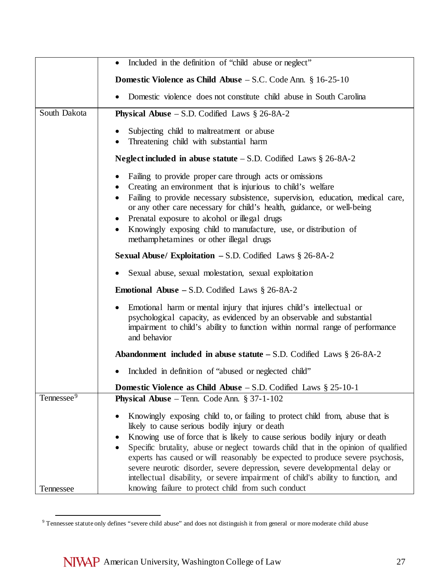|                                     | Included in the definition of "child abuse or neglect"                                                                                                                                                                                                                                                                                                                                                                                                                                                                                                                                                                                                                   |
|-------------------------------------|--------------------------------------------------------------------------------------------------------------------------------------------------------------------------------------------------------------------------------------------------------------------------------------------------------------------------------------------------------------------------------------------------------------------------------------------------------------------------------------------------------------------------------------------------------------------------------------------------------------------------------------------------------------------------|
|                                     | <b>Domestic Violence as Child Abuse</b> $-$ S.C. Code Ann. § 16-25-10                                                                                                                                                                                                                                                                                                                                                                                                                                                                                                                                                                                                    |
|                                     | Domestic violence does not constitute child abuse in South Carolina                                                                                                                                                                                                                                                                                                                                                                                                                                                                                                                                                                                                      |
| South Dakota                        | <b>Physical Abuse</b> $-$ S.D. Codified Laws § 26-8A-2                                                                                                                                                                                                                                                                                                                                                                                                                                                                                                                                                                                                                   |
|                                     | Subjecting child to maltreatment or abuse<br>Threatening child with substantial harm                                                                                                                                                                                                                                                                                                                                                                                                                                                                                                                                                                                     |
|                                     | Neglect included in abuse statute $-$ S.D. Codified Laws $\S 26-8A-2$                                                                                                                                                                                                                                                                                                                                                                                                                                                                                                                                                                                                    |
|                                     | Failing to provide proper care through acts or omissions<br>Creating an environment that is injurious to child's welfare<br>Failing to provide necessary subsistence, supervision, education, medical care,<br>or any other care necessary for child's health, guidance, or well-being<br>Prenatal exposure to alcohol or illegal drugs<br>Knowingly exposing child to manufacture, use, or distribution of<br>methamphetamines or other illegal drugs                                                                                                                                                                                                                   |
|                                     | Sexual Abuse/ Exploitation - S.D. Codified Laws § 26-8A-2                                                                                                                                                                                                                                                                                                                                                                                                                                                                                                                                                                                                                |
|                                     | Sexual abuse, sexual molestation, sexual exploitation                                                                                                                                                                                                                                                                                                                                                                                                                                                                                                                                                                                                                    |
|                                     | <b>Emotional Abuse – S.D. Codified Laws <math>\S</math> 26-8A-2</b>                                                                                                                                                                                                                                                                                                                                                                                                                                                                                                                                                                                                      |
|                                     | Emotional harm or mental injury that injures child's intellectual or<br>psychological capacity, as evidenced by an observable and substantial<br>impairment to child's ability to function within normal range of performance<br>and behavior                                                                                                                                                                                                                                                                                                                                                                                                                            |
|                                     | Abandonment included in abuse statute $-$ S.D. Codified Laws $\S 26-8A-2$                                                                                                                                                                                                                                                                                                                                                                                                                                                                                                                                                                                                |
|                                     | Included in definition of "abused or neglected child"                                                                                                                                                                                                                                                                                                                                                                                                                                                                                                                                                                                                                    |
|                                     | <b>Domestic Violence as Child Abuse</b> $-$ S.D. Codified Laws § 25-10-1                                                                                                                                                                                                                                                                                                                                                                                                                                                                                                                                                                                                 |
| Tennessee <sup>9</sup><br>Tennessee | <b>Physical Abuse</b> – Tenn. Code Ann. $\S 37-1-102$<br>Knowingly exposing child to, or failing to protect child from, abuse that is<br>likely to cause serious bodily injury or death<br>Knowing use of force that is likely to cause serious bodily injury or death<br>Specific brutality, abuse or neglect towards child that in the opinion of qualified<br>experts has caused or will reasonably be expected to produce severe psychosis,<br>severe neurotic disorder, severe depression, severe developmental delay or<br>intellectual disability, or severe impairment of child's ability to function, and<br>knowing failure to protect child from such conduct |

<span id="page-26-0"></span><sup>&</sup>lt;sup>9</sup> Tennessee statute only defines "severe child abuse" and does not distinguish it from general or more moderate child abuse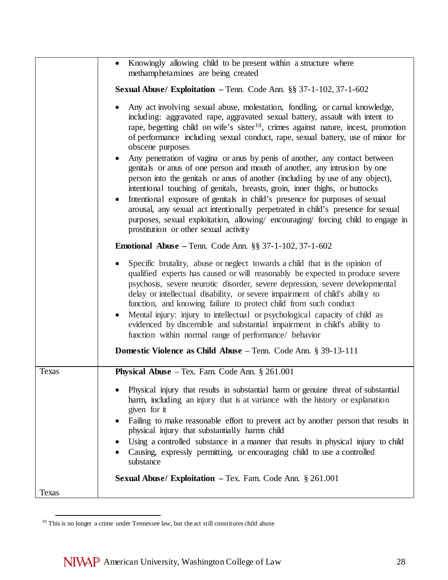|              | Knowingly allowing child to be present within a structure where<br>$\bullet$<br>methamphetamines are being created                                                                                                                                                                                                                                                                                                                                                                                                                                                                                                                                                                                                                                                                                                                                                                                                                                                                                |
|--------------|---------------------------------------------------------------------------------------------------------------------------------------------------------------------------------------------------------------------------------------------------------------------------------------------------------------------------------------------------------------------------------------------------------------------------------------------------------------------------------------------------------------------------------------------------------------------------------------------------------------------------------------------------------------------------------------------------------------------------------------------------------------------------------------------------------------------------------------------------------------------------------------------------------------------------------------------------------------------------------------------------|
|              | <b>Sexual Abuse/ Exploitation</b> - Tenn. Code Ann. $\S\S 37-1-102$ , $37-1-602$                                                                                                                                                                                                                                                                                                                                                                                                                                                                                                                                                                                                                                                                                                                                                                                                                                                                                                                  |
|              | Any act involving sexual abuse, molestation, fondling, or carnal knowledge,<br>including: aggravated rape, aggravated sexual battery, assault with intent to<br>rape, begetting child on wife's sister <sup>10</sup> , crimes against nature, incest, promotion<br>of performance including sexual conduct, rape, sexual battery, use of minor for<br>obscene purposes<br>Any penetration of vagina or anus by penis of another, any contact between<br>genitals or anus of one person and mouth of another, any intrusion by one<br>person into the genitals or anus of another (including by use of any object),<br>intentional touching of genitals, breasts, groin, inner thighs, or buttocks<br>Intentional exposure of genitals in child's presence for purposes of sexual<br>arousal, any sexual act intentionally perpetrated in child's presence for sexual<br>purposes, sexual exploitation, allowing/ encouraging/ forcing child to engage in<br>prostitution or other sexual activity |
|              | <b>Emotional Abuse</b> – Tenn. Code Ann. $\S$ § 37-1-102, 37-1-602                                                                                                                                                                                                                                                                                                                                                                                                                                                                                                                                                                                                                                                                                                                                                                                                                                                                                                                                |
|              | Specific brutality, abuse or neglect towards a child that in the opinion of<br>qualified experts has caused or will reasonably be expected to produce severe<br>psychosis, severe neurotic disorder, severe depression, severe developmental<br>delay or intellectual disability, or severe impairment of child's ability to<br>function, and knowing failure to protect child from such conduct<br>Mental injury: injury to intellectual or psychological capacity of child as<br>evidenced by discernible and substantial impairment in child's ability to<br>function within normal range of performance/ behavior                                                                                                                                                                                                                                                                                                                                                                             |
|              | Domestic Violence as Child Abuse - Tenn. Code Ann. § 39-13-111                                                                                                                                                                                                                                                                                                                                                                                                                                                                                                                                                                                                                                                                                                                                                                                                                                                                                                                                    |
| <b>Texas</b> | <b>Physical Abuse</b> – Tex. Fam. Code Ann. $\S$ 261.001                                                                                                                                                                                                                                                                                                                                                                                                                                                                                                                                                                                                                                                                                                                                                                                                                                                                                                                                          |
|              | Physical injury that results in substantial harm or genuine threat of substantial<br>harm, including an injury that is at variance with the history or explanation<br>given for it<br>Failing to make reasonable effort to prevent act by another person that results in<br>physical injury that substantially harms child<br>Using a controlled substance in a manner that results in physical injury to child<br>Causing, expressly permitting, or encouraging child to use a controlled<br>substance<br><b>Sexual Abuse/ Exploitation – Tex. Fam. Code Ann. § 261.001</b>                                                                                                                                                                                                                                                                                                                                                                                                                      |
| Texas        |                                                                                                                                                                                                                                                                                                                                                                                                                                                                                                                                                                                                                                                                                                                                                                                                                                                                                                                                                                                                   |

<span id="page-27-0"></span> $^{10}$  This is no longer a crime under Tennessee law, but the act still constitutes child abuse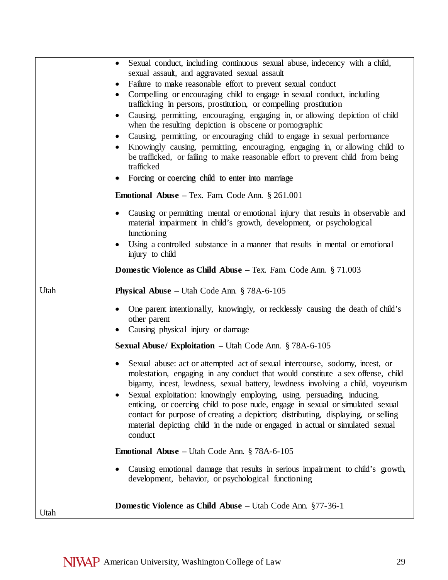|      | Sexual conduct, including continuous sexual abuse, indecency with a child,<br>$\bullet$                                               |
|------|---------------------------------------------------------------------------------------------------------------------------------------|
|      | sexual assault, and aggravated sexual assault                                                                                         |
|      | Failure to make reasonable effort to prevent sexual conduct<br>$\bullet$                                                              |
|      | Compelling or encouraging child to engage in sexual conduct, including                                                                |
|      | trafficking in persons, prostitution, or compelling prostitution                                                                      |
|      | Causing, permitting, encouraging, engaging in, or allowing depiction of child                                                         |
|      | when the resulting depiction is obscene or pornographic                                                                               |
|      | Causing, permitting, or encouraging child to engage in sexual performance                                                             |
|      | Knowingly causing, permitting, encouraging, engaging in, or allowing child to                                                         |
|      | be trafficked, or failing to make reasonable effort to prevent child from being                                                       |
|      | trafficked                                                                                                                            |
|      | Forcing or coercing child to enter into marriage                                                                                      |
|      | <b>Emotional Abuse - Tex. Fam. Code Ann. § 261.001</b>                                                                                |
|      | Causing or permitting mental or emotional injury that results in observable and                                                       |
|      | material impairment in child's growth, development, or psychological                                                                  |
|      | functioning                                                                                                                           |
|      | Using a controlled substance in a manner that results in mental or emotional                                                          |
|      | injury to child                                                                                                                       |
|      | <b>Domestic Violence as Child Abuse</b> $-$ Tex. Fam. Code Ann. $\S 71.003$                                                           |
|      |                                                                                                                                       |
| Utah | Physical Abuse - Utah Code Ann. § 78A-6-105                                                                                           |
|      | One parent intentionally, knowingly, or recklessly causing the death of child's                                                       |
|      | other parent                                                                                                                          |
|      | Causing physical injury or damage                                                                                                     |
|      | <b>Sexual Abuse/ Exploitation – Utah Code Ann. § 78A-6-105</b>                                                                        |
|      |                                                                                                                                       |
|      | Sexual abuse: act or attempted act of sexual intercourse, sodomy, incest, or                                                          |
|      | molestation, engaging in any conduct that would constitute a sex offense, child                                                       |
|      | bigamy, incest, lewdness, sexual battery, lewdness involving a child, voyeurism                                                       |
|      | Sexual exploitation: knowingly employing, using, persuading, inducing,                                                                |
|      | enticing, or coercing child to pose nude, engage in sexual or simulated sexual                                                        |
|      | contact for purpose of creating a depiction; distributing, displaying, or selling                                                     |
|      | material depicting child in the nude or engaged in actual or simulated sexual                                                         |
|      | conduct                                                                                                                               |
|      | <b>Emotional Abuse</b> – Utah Code Ann. $\S$ 78A-6-105                                                                                |
|      |                                                                                                                                       |
|      | Causing emotional damage that results in serious impairment to child's growth,<br>development, behavior, or psychological functioning |
|      |                                                                                                                                       |
|      |                                                                                                                                       |
| Utah | <b>Domestic Violence as Child Abuse</b> – Utah Code Ann. §77-36-1                                                                     |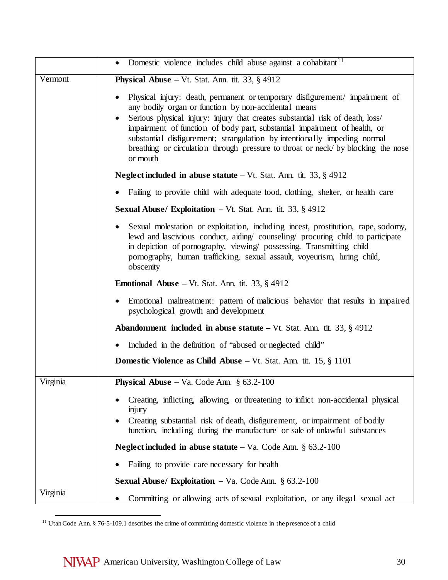|          | Domestic violence includes child abuse against a cohabitant <sup>11</sup>                                                                                                                                                                                                                                                                                                                                                                                                       |
|----------|---------------------------------------------------------------------------------------------------------------------------------------------------------------------------------------------------------------------------------------------------------------------------------------------------------------------------------------------------------------------------------------------------------------------------------------------------------------------------------|
| Vermont  | <b>Physical Abuse</b> – Vt. Stat. Ann. tit. 33, $\S$ 4912                                                                                                                                                                                                                                                                                                                                                                                                                       |
|          | Physical injury: death, permanent or temporary disfigurement/ impairment of<br>any bodily organ or function by non-accidental means<br>Serious physical injury: injury that creates substantial risk of death, loss/<br>impairment of function of body part, substantial impairment of health, or<br>substantial disfigurement; strangulation by intentionally impeding normal<br>breathing or circulation through pressure to throat or neck/ by blocking the nose<br>or mouth |
|          | <b>Neglect included in abuse statute</b> $-Vt$ . Stat. Ann. tit. 33, § 4912                                                                                                                                                                                                                                                                                                                                                                                                     |
|          | Failing to provide child with adequate food, clothing, shelter, or health care                                                                                                                                                                                                                                                                                                                                                                                                  |
|          | <b>Sexual Abuse/ Exploitation – Vt. Stat. Ann. tit. 33, <math>\S</math> 4912</b>                                                                                                                                                                                                                                                                                                                                                                                                |
|          | Sexual molestation or exploitation, including incest, prostitution, rape, sodomy,<br>lewd and lascivious conduct, aiding/ counseling/ procuring child to participate<br>in depiction of pornography, viewing/ possessing. Transmitting child<br>pornography, human trafficking, sexual assault, voyeurism, luring child,<br>obscenity                                                                                                                                           |
|          | <b>Emotional Abuse</b> – Vt. Stat. Ann. tit. 33, $\S$ 4912                                                                                                                                                                                                                                                                                                                                                                                                                      |
|          | Emotional maltreatment: pattern of malicious behavior that results in impaired<br>psychological growth and development                                                                                                                                                                                                                                                                                                                                                          |
|          | <b>Abandonment included in abuse statute – Vt. Stat. Ann. tit. 33, <math>\S</math> 4912</b>                                                                                                                                                                                                                                                                                                                                                                                     |
|          | Included in the definition of "abused or neglected child"                                                                                                                                                                                                                                                                                                                                                                                                                       |
|          | <b>Domestic Violence as Child Abuse</b> $-$ Vt. Stat. Ann. tit. 15, $\S$ 1101                                                                                                                                                                                                                                                                                                                                                                                                   |
| Virginia | <b>Physical Abuse</b> – Va. Code Ann. $\S$ 63.2-100                                                                                                                                                                                                                                                                                                                                                                                                                             |
|          | Creating, inflicting, allowing, or threatening to inflict non-accidental physical<br>injury<br>Creating substantial risk of death, disfigurement, or impairment of bodily<br>function, including during the manufacture or sale of unlawful substances                                                                                                                                                                                                                          |
|          | Neglect included in abuse statute $-$ Va. Code Ann. § 63.2-100                                                                                                                                                                                                                                                                                                                                                                                                                  |
|          | Failing to provide care necessary for health                                                                                                                                                                                                                                                                                                                                                                                                                                    |
|          | <b>Sexual Abuse/ Exploitation – Va. Code Ann.</b> $\S 63.2 - 100$                                                                                                                                                                                                                                                                                                                                                                                                               |
| Virginia | Committing or allowing acts of sexual exploitation, or any illegal sexual act                                                                                                                                                                                                                                                                                                                                                                                                   |

<span id="page-29-0"></span><sup>&</sup>lt;sup>11</sup> Utah Code Ann. § 76-5-109.1 describes the crime of committing domestic violence in the presence of a child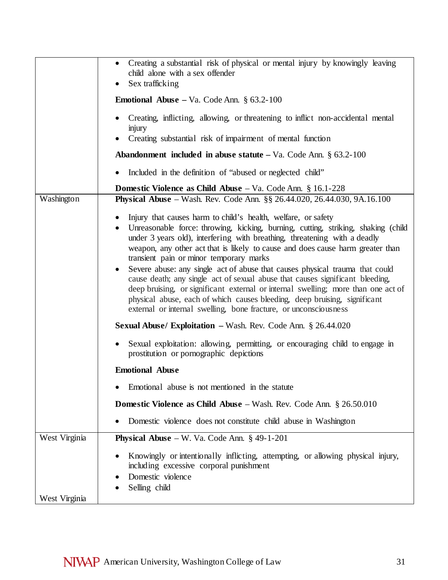|                                | Creating a substantial risk of physical or mental injury by knowingly leaving<br>child alone with a sex offender<br>Sex trafficking<br>$\bullet$<br><b>Emotional Abuse</b> – Va. Code Ann. $\S$ 63.2-100<br>Creating, inflicting, allowing, or threatening to inflict non-accidental mental<br>injury<br>Creating substantial risk of impairment of mental function<br><b>Abandonment included in abuse statute</b> $-$ Va. Code Ann. $\S$ 63.2-100                                                                                                                                                                                                                                                                                                                                           |
|--------------------------------|-----------------------------------------------------------------------------------------------------------------------------------------------------------------------------------------------------------------------------------------------------------------------------------------------------------------------------------------------------------------------------------------------------------------------------------------------------------------------------------------------------------------------------------------------------------------------------------------------------------------------------------------------------------------------------------------------------------------------------------------------------------------------------------------------|
|                                | Included in the definition of "abused or neglected child"<br>$\bullet$                                                                                                                                                                                                                                                                                                                                                                                                                                                                                                                                                                                                                                                                                                                        |
| Washington                     | <b>Domestic Violence as Child Abuse</b> $-$ Va. Code Ann. § 16.1-228<br><b>Physical Abuse</b> – Wash. Rev. Code Ann. §§ 26.44.020, 26.44.030, 9A.16.100                                                                                                                                                                                                                                                                                                                                                                                                                                                                                                                                                                                                                                       |
|                                | Injury that causes harm to child's health, welfare, or safety<br>Unreasonable force: throwing, kicking, burning, cutting, striking, shaking (child<br>$\bullet$<br>under 3 years old), interfering with breathing, threatening with a deadly<br>weapon, any other act that is likely to cause and does cause harm greater than<br>transient pain or minor temporary marks<br>Severe abuse: any single act of abuse that causes physical trauma that could<br>$\bullet$<br>cause death; any single act of sexual abuse that causes significant bleeding,<br>deep bruising, or significant external or internal swelling; more than one act of<br>physical abuse, each of which causes bleeding, deep bruising, significant<br>external or internal swelling, bone fracture, or unconsciousness |
|                                | <b>Sexual Abuse/ Exploitation – Wash. Rev. Code Ann. § 26.44.020</b>                                                                                                                                                                                                                                                                                                                                                                                                                                                                                                                                                                                                                                                                                                                          |
|                                | Sexual exploitation: allowing, permitting, or encouraging child to engage in<br>prostitution or pornographic depictions                                                                                                                                                                                                                                                                                                                                                                                                                                                                                                                                                                                                                                                                       |
|                                | <b>Emotional Abuse</b>                                                                                                                                                                                                                                                                                                                                                                                                                                                                                                                                                                                                                                                                                                                                                                        |
|                                | Emotional abuse is not mentioned in the statute                                                                                                                                                                                                                                                                                                                                                                                                                                                                                                                                                                                                                                                                                                                                               |
|                                | <b>Domestic Violence as Child Abuse</b> – Wash. Rev. Code Ann. $\S 26.50.010$                                                                                                                                                                                                                                                                                                                                                                                                                                                                                                                                                                                                                                                                                                                 |
|                                | Domestic violence does not constitute child abuse in Washington                                                                                                                                                                                                                                                                                                                                                                                                                                                                                                                                                                                                                                                                                                                               |
| West Virginia<br>West Virginia | <b>Physical Abuse</b> – W. Va. Code Ann. $\S$ 49-1-201<br>Knowingly or intentionally inflicting, attempting, or allowing physical injury,<br>including excessive corporal punishment<br>Domestic violence<br>Selling child                                                                                                                                                                                                                                                                                                                                                                                                                                                                                                                                                                    |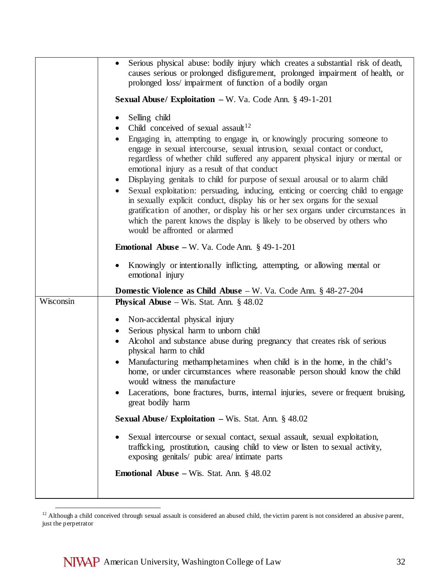|           | Serious physical abuse: bodily injury which creates a substantial risk of death,<br>causes serious or prolonged disfigurement, prolonged impairment of health, or<br>prolonged loss/impairment of function of a bodily organ                                                                                                                                                                                                                                                                                                                                                                                                                                                                                                                                                                                                   |
|-----------|--------------------------------------------------------------------------------------------------------------------------------------------------------------------------------------------------------------------------------------------------------------------------------------------------------------------------------------------------------------------------------------------------------------------------------------------------------------------------------------------------------------------------------------------------------------------------------------------------------------------------------------------------------------------------------------------------------------------------------------------------------------------------------------------------------------------------------|
|           | <b>Sexual Abuse/ Exploitation - W. Va. Code Ann. § 49-1-201</b>                                                                                                                                                                                                                                                                                                                                                                                                                                                                                                                                                                                                                                                                                                                                                                |
|           | Selling child<br>$\bullet$<br>Child conceived of sexual assault <sup>12</sup><br>Engaging in, attempting to engage in, or knowingly procuring someone to<br>engage in sexual intercourse, sexual intrusion, sexual contact or conduct,<br>regardless of whether child suffered any apparent physical injury or mental or<br>emotional injury as a result of that conduct<br>• Displaying genitals to child for purpose of sexual arousal or to alarm child<br>Sexual exploitation: persuading, inducing, enticing or coercing child to engage<br>in sexually explicit conduct, display his or her sex organs for the sexual<br>gratification of another, or display his or her sex organs under circumstances in<br>which the parent knows the display is likely to be observed by others who<br>would be affronted or alarmed |
|           | <b>Emotional Abuse</b> – W. Va. Code Ann. $\S$ 49-1-201                                                                                                                                                                                                                                                                                                                                                                                                                                                                                                                                                                                                                                                                                                                                                                        |
|           | Knowingly or intentionally inflicting, attempting, or allowing mental or<br>emotional injury                                                                                                                                                                                                                                                                                                                                                                                                                                                                                                                                                                                                                                                                                                                                   |
|           | <b>Domestic Violence as Child Abuse</b> – W. Va. Code Ann. § 48-27-204                                                                                                                                                                                                                                                                                                                                                                                                                                                                                                                                                                                                                                                                                                                                                         |
| Wisconsin | <b>Physical Abuse</b> – Wis. Stat. Ann. $§$ 48.02                                                                                                                                                                                                                                                                                                                                                                                                                                                                                                                                                                                                                                                                                                                                                                              |
|           | Non-accidental physical injury<br>$\bullet$                                                                                                                                                                                                                                                                                                                                                                                                                                                                                                                                                                                                                                                                                                                                                                                    |
|           | Serious physical harm to unborn child<br>$\bullet$                                                                                                                                                                                                                                                                                                                                                                                                                                                                                                                                                                                                                                                                                                                                                                             |
|           | Alcohol and substance abuse during pregnancy that creates risk of serious<br>physical harm to child                                                                                                                                                                                                                                                                                                                                                                                                                                                                                                                                                                                                                                                                                                                            |
|           | Manufacturing methamphetamines when child is in the home, in the child's<br>home, or under circumstances where reasonable person should know the child<br>would witness the manufacture<br>Lacerations, bone fractures, burns, internal injuries, severe or frequent bruising,<br>great bodily harm                                                                                                                                                                                                                                                                                                                                                                                                                                                                                                                            |
|           | <b>Sexual Abuse/ Exploitation - Wis. Stat. Ann. <math>\S</math> 48.02</b>                                                                                                                                                                                                                                                                                                                                                                                                                                                                                                                                                                                                                                                                                                                                                      |
|           | Sexual intercourse or sexual contact, sexual assault, sexual exploitation,<br>trafficking, prostitution, causing child to view or listen to sexual activity,<br>exposing genitals/ pubic area/ intimate parts                                                                                                                                                                                                                                                                                                                                                                                                                                                                                                                                                                                                                  |
|           | <b>Emotional Abuse</b> – Wis. Stat. Ann. $\S$ 48.02                                                                                                                                                                                                                                                                                                                                                                                                                                                                                                                                                                                                                                                                                                                                                                            |
|           |                                                                                                                                                                                                                                                                                                                                                                                                                                                                                                                                                                                                                                                                                                                                                                                                                                |

<span id="page-31-0"></span><sup>12</sup> Although a child conceived through sexual assault is considered an abused child, the victim parent is not considered an abusive parent, just the perpetrator